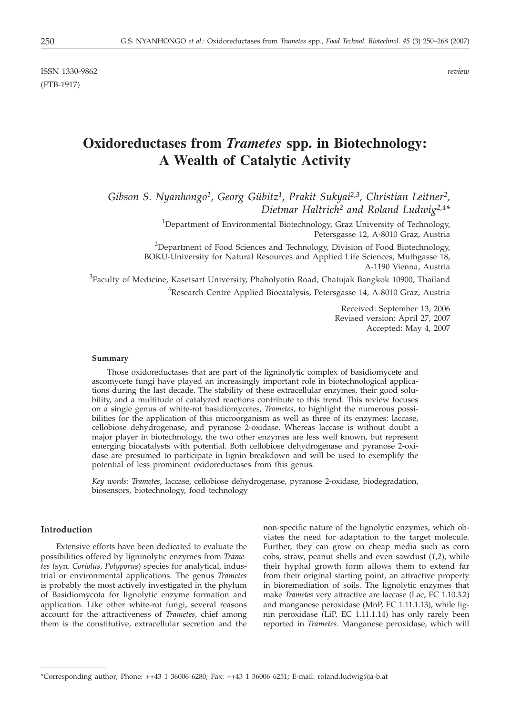ISSN 1330-9862 *review* (FTB-1917)

# **Oxidoreductases from** *Trametes* **spp. in Biotechnology: A Wealth of Catalytic Activity**

*Gibson S. Nyanhongo1, Georg Gübitz1, Prakit Sukyai2,3, Christian Leitner2, Dietmar Haltrich2 and Roland Ludwig2,4\**

> <sup>1</sup>Department of Environmental Biotechnology, Graz University of Technology, Petersgasse 12, A-8010 Graz, Austria

<sup>2</sup>Department of Food Sciences and Technology, Division of Food Biotechnology, BOKU-University for Natural Resources and Applied Life Sciences, Muthgasse 18, A-1190 Vienna, Austria

 ${}^{3}$ Faculty of Medicine, Kasetsart University, Phaholyotin Road, Chatujak Bangkok 10900, Thailand <sup>4</sup>Research Centre Applied Biocatalysis, Petersgasse 14, A-8010 Graz, Austria

> Received: September 13, 2006 Revised version: April 27, 2007 Accepted: May 4, 2007

#### **Summary**

Those oxidoreductases that are part of the ligninolytic complex of basidiomycete and ascomycete fungi have played an increasingly important role in biotechnological applications during the last decade. The stability of these extracellular enzymes, their good solubility, and a multitude of catalyzed reactions contribute to this trend. This review focuses on a single genus of white-rot basidiomycetes, *Trametes*, to highlight the numerous possibilities for the application of this microorganism as well as three of its enzymes: laccase, cellobiose dehydrogenase, and pyranose 2-oxidase. Whereas laccase is without doubt a major player in biotechnology, the two other enzymes are less well known, but represent emerging biocatalysts with potential. Both cellobiose dehydrogenase and pyranose 2-oxidase are presumed to participate in lignin breakdown and will be used to exemplify the potential of less prominent oxidoreductases from this genus.

*Key words: Trametes*, laccase, cellobiose dehydrogenase, pyranose 2-oxidase, biodegradation, biosensors, biotechnology, food technology

# **Introduction**

Extensive efforts have been dedicated to evaluate the possibilities offered by ligninolytic enzymes from *Trametes* (syn. *Coriolus, Polyporus*) species for analytical, industrial or environmental applications. The genus *Trametes* is probably the most actively investigated in the phylum of Basidiomycota for lignolytic enzyme formation and application. Like other white-rot fungi, several reasons account for the attractiveness of *Trametes,* chief among them is the constitutive, extracellular secretion and the

non-specific nature of the lignolytic enzymes, which obviates the need for adaptation to the target molecule. Further, they can grow on cheap media such as corn cobs, straw, peanut shells and even sawdust (*1,2*), while their hyphal growth form allows them to extend far from their original starting point, an attractive property in bioremediation of soils. The lignolytic enzymes that make *Trametes* very attractive are laccase (Lac, EC 1.10.3.2) and manganese peroxidase (MnP, EC 1.11.1.13), while lignin peroxidase (LiP, EC 1.11.1.14) has only rarely been reported in *Trametes*. Manganese peroxidase, which will

<sup>\*</sup>Corresponding author; Phone: ++43 1 36006 6280; Fax: ++43 1 36006 6251; E-mail: roland.ludwig*@*a-b.at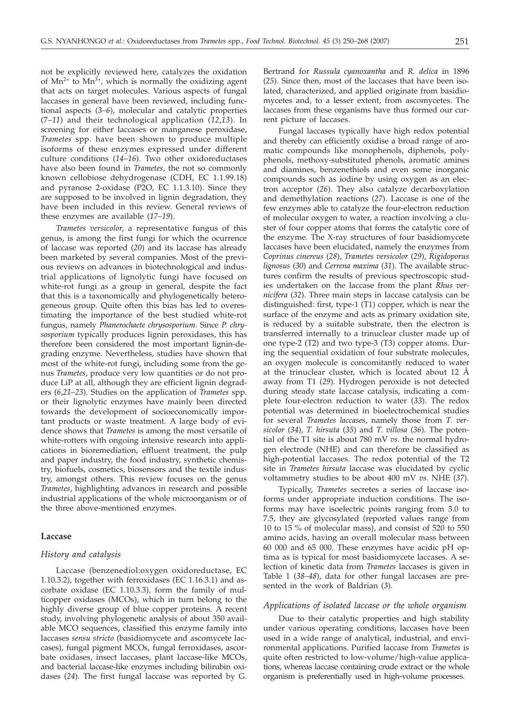not be explicitly reviewed here, catalyzes the oxidation of  $Mn^{2+}$  to  $Mn^{3+}$ , which is normally the oxidizing agent that acts on target molecules. Various aspects of fungal laccases in general have been reviewed, including functional aspects (*3–6*), molecular and catalytic properties (7–*11*) and their technological application (*12*,*13*). In screening for either laccases or manganese peroxidase, *Trametes* spp. have been shown to produce multiple isoforms of these enzymes expressed under different culture conditions (*14–16*). Two other oxidoreductases have also been found in *Trametes*, the not so commonly known cellobiose dehydrogenase (CDH, EC 1.1.99.18) and pyranose 2-oxidase (P2O, EC 1.1.3.10). Since they are supposed to be involved in lignin degradation, they have been included in this review. General reviews of these enzymes are available (*17*–*19*).

*Trametes versicolor*, a representative fungus of this genus, is among the first fungi for which the ocurrence of laccase was reported (*20*) and its laccase has already been marketed by several companies. Most of the previous reviews on advances in biotechnological and industrial applications of lignolytic fungi have focused on white-rot fungi as a group in general, despite the fact that this is a taxonomically and phylogenetically heterogeneous group. Quite often this bias has led to overestimating the importance of the best studied white-rot fungus, namely *Phanerochaete chrysosporium*. Since *P. chrysosporium* typically produces lignin peroxidases, this has therefore been considered the most important lignin-degrading enzyme. Nevertheless, studies have shown that most of the white-rot fungi, including some from the genus *Trametes*, produce very low quantities or do not produce LiP at all, although they are efficient lignin degraders (*6*,*21*–*23*). Studies on the application of *Trametes* spp. or their lignolytic enzymes have mainly been directed towards the development of socioeconomically important products or waste treatment. A large body of evidence shows that *Trametes* is among the most versatile of white-rotters with ongoing intensive research into applications in bioremediation, effluent treatment, the pulp and paper industry, the food industry, synthetic chemistry, biofuels, cosmetics, biosensors and the textile industry, amongst others. This review focuses on the genus *Trametes*, highlighting advances in research and possible industrial applications of the whole microorganism or of the three above-mentioned enzymes.

# **Laccase**

# *History and catalysis*

Laccase (benzenediol:oxygen oxidoreductase, EC 1.10.3.2), together with ferroxidases (EC 1.16.3.1) and ascorbate oxidase (EC 1.10.3.3), form the family of multicopper oxidases (MCOs), which in turn belong to the highly diverse group of blue copper proteins. A recent study, involving phylogenetic analysis of about 350 available MCO sequences, classified this enzyme family into laccases *sensu stricto* (basidiomycete and ascomycete laccases), fungal pigment MCOs, fungal ferroxidases, ascorbate oxidases, insect laccases, plant laccase-like MCOs, and bacterial laccase-like enzymes including bilirubin oxidases (*24*). The first fungal laccase was reported by G. Bertrand for *Russula cyanoxantha* and *R. delica* in 1896 (*25*). Since then, most of the laccases that have been isolated, characterized, and applied originate from basidiomycetes and, to a lesser extent, from ascomycetes. The laccases from these organisms have thus formed our current picture of laccases.

Fungal laccases typically have high redox potential and thereby can efficiently oxidise a broad range of aromatic compounds like monophenols, diphenols, polyphenols, methoxy-substituted phenols, aromatic amines and diamines, benzenethiols and even some inorganic compounds such as iodine by using oxygen as an electron acceptor (*26*). They also catalyze decarboxylation and demethylation reactions (*27*). Laccase is one of the few enzymes able to catalyze the four-electron reduction of molecular oxygen to water, a reaction involving a cluster of four copper atoms that forms the catalytic core of the enzyme. The X-ray structures of four basidiomycete laccases have been elucidated, namely the enzymes from *Coprinus cinereus* (*28*), *Trametes versicolor* (*29*), *Rigidoporus lignosus* (*30*) and *Cerrena maxima* (*31*). The available structures confirm the results of previous spectroscopic studies undertaken on the laccase from the plant *Rhus vernicifera* (*32*). Three main steps in laccase catalysis can be distinguished: first, type-1 (T1) copper, which is near the surface of the enzyme and acts as primary oxidation site, is reduced by a suitable substrate, then the electron is transferred internally to a trinuclear cluster made up of one type-2 (T2) and two type-3 (T3) copper atoms. During the sequential oxidation of four substrate molecules, an oxygen molecule is concomitantly reduced to water at the trinuclear cluster, which is located about 12 Å away from T1 (*29*). Hydrogen peroxide is not detected during steady state laccase catalysis, indicating a complete four-electron reduction to water (*33*). The redox potential was determined in bioelectrochemical studies for several *Trametes laccases*, namely those from *T. versicolor* (*34*), *T. hirsuta* (*35*) and *T. villosa* (*36*). The potential of the T1 site is about 780 mV *vs*. the normal hydrogen electrode (NHE) and can therefore be classified as high-potential laccases. The redox potential of the T2 site in *Trametes hirsuta* laccase was elucidated by cyclic voltammetry studies to be about 400 mV *vs*. NHE (*37*).

Typically, *Trametes* secretes a series of laccase isoforms under appropriate induction conditions. The isoforms may have isoelectric points ranging from 3.0 to 7.5, they are glycosylated (reported values range from 10 to 15 % of molecular mass), and consist of 520 to 550 amino acids, having an overall molecular mass between 60 000 and 65 000. These enzymes have acidic pH optima as is typical for most basidiomycete laccases. A selection of kinetic data from *Trametes* laccases is given in Table 1 (*38–48*), data for other fungal laccases are presented in the work of Baldrian (*3*).

# *Applications of isolated laccase or the whole organism*

Due to their catalytic properties and high stability under various operating conditions, laccases have been used in a wide range of analytical, industrial, and environmental applications. Purified laccase from *Trametes* is quite often restricted to low-volume/high-value applications, whereas laccase containing crude extract or the whole organism is preferentially used in high-volume processes.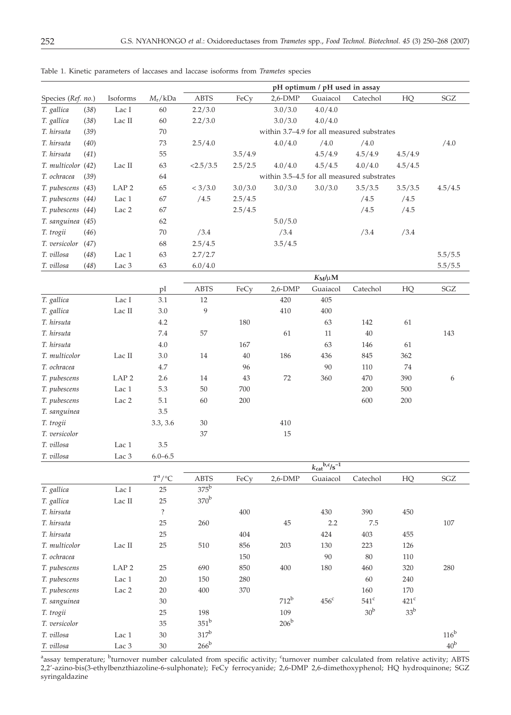|                             |                  |                            |                |           |                      | pH optimum / pH used in assay              |                      |                            |                      |
|-----------------------------|------------------|----------------------------|----------------|-----------|----------------------|--------------------------------------------|----------------------|----------------------------|----------------------|
| Species (Ref. no.)          | Isoforms         | $M_{\rm r}/\rm kDa$        | <b>ABTS</b>    | FeCy      | $2,6-DMP$            | Guaiacol                                   | Catechol             | HQ                         | $\operatorname{SGZ}$ |
| T. gallica<br>(38)          | Lac I            | 60                         | 2.2/3.0        |           | 3.0/3.0              | 4.0/4.0                                    |                      |                            |                      |
| (38)<br>T. gallica          | Lac II           | 60                         | 2.2/3.0        |           | 3.0/3.0              | 4.0/4.0                                    |                      |                            |                      |
| T. hirsuta<br>(39)          |                  | $70\,$                     |                |           |                      | within 3.7-4.9 for all measured substrates |                      |                            |                      |
| T. hirsuta<br>(40)          |                  | 73                         | 2.5/4.0        |           | 4.0/4.0              | /4.0                                       | /4.0                 |                            | /4.0                 |
| T. hirsuta<br>(41)          |                  | 55                         |                | 3.5/4.9   |                      | 4.5/4.9                                    | 4.5/4.9              | 4.5/4.9                    |                      |
| T. multicolor (42)          | Lac II           | 63                         | <2.5/3.5       | 2.5/2.5   | 4.0/4.0              | 4.5/4.5                                    | 4.0/4.0              | 4.5/4.5                    |                      |
| T. ochracea<br>(39)         |                  | 64                         |                |           |                      | within 3.5-4.5 for all measured substrates |                      |                            |                      |
| T. pubescens (43)           | LAP <sub>2</sub> | 65                         | < 3/3.0        | 3.0 / 3.0 | 3.0/3.0              | 3.0/3.0                                    | 3.5/3.5              | 3.5/3.5                    | 4.5/4.5              |
| T. pubescens (44)           | Lac 1            | 67                         | /4.5           | 2.5/4.5   |                      |                                            | /4.5                 | /4.5                       |                      |
| T. pubescens (44)           | Lac <sub>2</sub> | 67                         |                | 2.5/4.5   |                      |                                            | /4.5                 | /4.5                       |                      |
| T. sanguinea (45)           |                  | 62                         |                |           | 5.0/5.0              |                                            |                      |                            |                      |
| T. trogii<br>(46)           |                  | 70                         | /3.4           |           | /3.4                 |                                            | /3.4                 | /3.4                       |                      |
| T. versicolor (47)          |                  | 68                         | 2.5/4.5        |           | 3.5/4.5              |                                            |                      |                            |                      |
| T. villosa<br>(48)          | Lac 1            | 63                         | 2.7/2.7        |           |                      |                                            |                      |                            | 5.5/5.5              |
| T. villosa<br>(48)          | Lac 3            | 63                         | 6.0/4.0        |           |                      |                                            |                      |                            | 5.5/5.5              |
|                             |                  |                            |                |           |                      | $K_M/\mu M$                                |                      |                            |                      |
|                             |                  | pI                         | ABTS           | FeCy      | $2,6$ -DMP           | Guaiacol                                   | Catechol             | HQ                         | SGZ                  |
| T. gallica                  | Lac I            | 3.1                        | $12\,$         |           | 420                  | 405                                        |                      |                            |                      |
| T. gallica                  | Lac II           | $3.0\,$                    | 9              |           | 410                  | 400                                        |                      |                            |                      |
| T. hirsuta                  |                  | 4.2                        |                | 180       |                      | 63                                         | 142                  | 61                         |                      |
| T. hirsuta                  |                  | 7.4                        | 57             |           | 61                   | 11                                         | $40\,$               |                            | 143                  |
| T. hirsuta                  |                  | 4.0                        |                | 167       |                      | 63                                         | 146                  | 61                         |                      |
| T. multicolor               | Lac II           | 3.0                        | 14             | $40\,$    | 186                  | 436                                        | 845                  | 362                        |                      |
| T. ochracea                 |                  | 4.7                        |                | 96        |                      | $90\,$                                     | 110                  | 74                         |                      |
| T. pubescens                | LAP <sub>2</sub> | 2.6                        | 14             | $43\,$    | 72                   | 360                                        | 470                  | 390                        | 6                    |
| T. pubescens                | Lac 1            | 5.3                        | $50\,$         | 700       |                      |                                            | 200                  | 500                        |                      |
| T. pubescens                | Lac 2            | $5.1\,$                    | 60             | 200       |                      |                                            | 600                  | 200                        |                      |
| T. sanguinea                |                  | 3.5                        |                |           |                      |                                            |                      |                            |                      |
| T. trogii                   |                  | 3.3, 3.6                   | $30\,$         |           | 410                  |                                            |                      |                            |                      |
| T. versicolor               |                  |                            | 37             |           | 15                   |                                            |                      |                            |                      |
| T. villosa                  | Lac 1            | 3.5                        |                |           |                      |                                            |                      |                            |                      |
| T. villosa                  | Lac 3            | $6.0 - 6.5$                |                |           |                      |                                            |                      |                            |                      |
|                             |                  |                            |                |           |                      | $k_{\text{cat}}^{b,c}$ /s <sup>-1</sup>    |                      |                            |                      |
|                             |                  | $T^{\rm a}/{\rm ^\circ C}$ | <b>ABTS</b>    | FeCy      | $2,6$ -DMP           | Guaiacol                                   | Catechol             | ${\rm HQ}$                 | SGZ                  |
| T. gallica                  | $\rm Lac~I$      | 25                         | $375^{\rm b}$  |           |                      |                                            |                      |                            |                      |
| T. gallica                  | Lac II           | 25                         | $370^{\rm b}$  |           |                      |                                            |                      |                            |                      |
| T. hirsuta                  |                  | $\ddot{?}$                 |                | 400       |                      | 430                                        | 390                  | 450                        |                      |
| T. hirsuta                  |                  | 25                         | 260            |           | $45\,$               | 2.2                                        | $7.5\,$              |                            | $107\,$              |
| T. hirsuta                  |                  | 25                         |                | 404       |                      | 424                                        | 403                  | 455                        |                      |
| T. multicolor               | $\rm Lac~II$     | 25                         | 510            | 856       | 203                  | 130                                        | 223                  | 126                        |                      |
| T. ochracea                 |                  |                            |                | 150       |                      | 90                                         | $80\,$               | 110                        |                      |
| T. pubescens                | LAP <sub>2</sub> | 25                         | 690            | 850       | 400                  | 180                                        | 460                  | 320                        | 280                  |
| T. pubescens                | Lac 1            | $20\,$                     | $150\,$        | 280       |                      |                                            | $60\,$               | 240                        |                      |
| T. pubescens                | Lac <sub>2</sub> | $20\,$                     | 400            | 370       | $712^b$              |                                            | 160<br>$541^{\circ}$ | 170                        |                      |
| T. sanguinea                |                  | 30                         |                |           |                      | $456^{\circ}$                              | 30 <sup>b</sup>      | $421^c$<br>33 <sup>b</sup> |                      |
| T. trogii                   |                  | 25                         | 198<br>$351^b$ |           | 109<br>$206^{\rm b}$ |                                            |                      |                            |                      |
| T. versicolor<br>T. villosa |                  | 35                         | $317^b$        |           |                      |                                            |                      |                            | $116^b$              |
|                             | Lac 1            | $30\,$                     | $266^{\rm b}$  |           |                      |                                            |                      |                            | 40 <sup>b</sup>      |
| T. villosa                  | Lac 3            | 30                         |                |           |                      |                                            |                      |                            |                      |

Table 1. Kinetic parameters of laccases and laccase isoforms from *Trametes* species

<sup>a</sup>assay temperature; <sup>b</sup>turnover number calculated from specific activity; <sup>c</sup>turnover number calculated from relative activity; ABTS 2,2'-azino-bis(3-ethylbenzthiazoline-6-sulphonate); FeCy ferrocyanide; 2,6-DMP 2,6-dimethoxyphenol; HQ hydroquinone; SGZ syringaldazine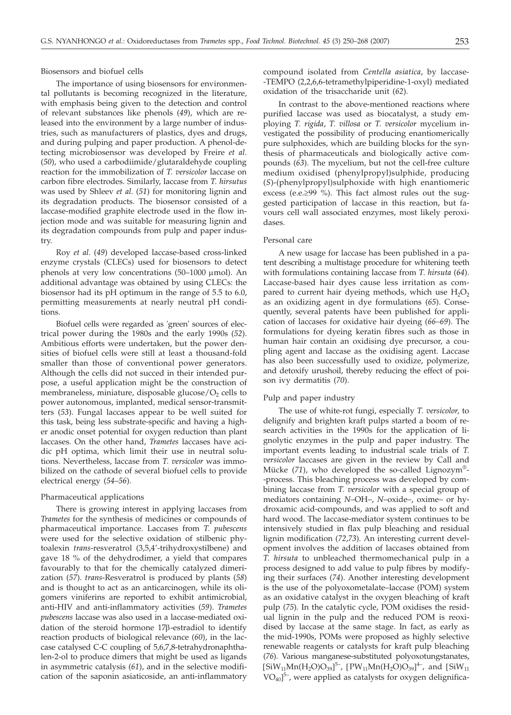Biosensors and biofuel cells

The importance of using biosensors for environmental pollutants is becoming recognized in the literature, with emphasis being given to the detection and control of relevant substances like phenols (*49*), which are released into the environment by a large number of industries, such as manufacturers of plastics, dyes and drugs, and during pulping and paper production. A phenol-detecting microbiosensor was developed by Freire *et al.* (*50*), who used a carbodiimide/glutaraldehyde coupling reaction for the immobilization of *T. versicolor* laccase on carbon fibre electrodes. Similarly, laccase from *T. hirsutus* was used by Shleev *et al.* (*51*) for monitoring lignin and its degradation products. The biosensor consisted of a laccase-modified graphite electrode used in the flow injection mode and was suitable for measuring lignin and its degradation compounds from pulp and paper industry.

Roy *et al.* (*49*) developed laccase-based cross-linked enzyme crystals (CLECs) used for biosensors to detect phenols at very low concentrations  $(50-1000 \mu m o)$ . An additional advantage was obtained by using CLECs: the biosensor had its pH optimum in the range of 5.5 to 6.0, permitting measurements at nearly neutral pH conditions.

Biofuel cells were regarded as 'green' sources of electrical power during the 1980s and the early 1990s (*52*). Ambitious efforts were undertaken, but the power densities of biofuel cells were still at least a thousand-fold smaller than those of conventional power generators. Although the cells did not succed in their intended purpose, a useful application might be the construction of membraneless, miniature, disposable glucose/ $O<sub>2</sub>$  cells to power autonomous, implanted, medical sensor-transmitters (*53*). Fungal laccases appear to be well suited for this task, being less substrate-specific and having a higher anodic onset potential for oxygen reduction than plant laccases. On the other hand, *Trametes* laccases have acidic pH optima, which limit their use in neutral solutions. Nevertheless, laccase from *T. versicolor* was immobilized on the cathode of several biofuel cells to provide electrical energy (*54*–*56*).

# Pharmaceutical applications

There is growing interest in applying laccases from *Trametes* for the synthesis of medicines or compounds of pharmaceutical importance. Laccases from *T. pubescens* were used for the selective oxidation of stilbenic phytoalexin *trans*-resveratrol (3,5,4'-trihydroxystilbene) and gave 18 % of the dehydrodimer, a yield that compares favourably to that for the chemically catalyzed dimerization (*57*). *trans*-Resveratrol is produced by plants (*58*) and is thought to act as an anticarcinogen, while its oligomers viniferins are reported to exhibit antimicrobial, anti-HIV and anti-inflammatory activities (*59*). *Trametes pubescens* laccase was also used in a laccase-mediated oxidation of the steroid hormone 17<sub>B</sub>-estradiol to identify reaction products of biological relevance (*60*), in the laccase catalysed C-C coupling of 5,6,7,8-tetrahydronaphthalen-2-ol to produce dimers that might be used as ligands in asymmetric catalysis (*61*), and in the selective modification of the saponin asiaticoside, an anti-inflammatory compound isolated from *Centella asiatica*, by laccase- -TEMPO (2,2,6,6-tetramethylpiperidine-1-oxyl) mediated oxidation of the trisaccharide unit (*62*).

In contrast to the above-mentioned reactions where purified laccase was used as biocatalyst, a study employing *T. rigida*, *T. villosa* or *T. versicolor* mycelium investigated the possibility of producing enantiomerically pure sulphoxides, which are building blocks for the synthesis of pharmaceuticals and biologically active compounds (*63*). The mycelium, but not the cell-free culture medium oxidised (phenylpropyl)sulphide, producing (*S*)-(phenylpropyl)sulphoxide with high enantiomeric excess (e.e. $\geq$ 99 %). This fact almost rules out the suggested participation of laccase in this reaction, but favours cell wall associated enzymes, most likely peroxidases.

# Personal care

A new usage for laccase has been published in a patent describing a multistage procedure for whitening teeth with formulations containing laccase from *T. hirsuta* (*64*). Laccase-based hair dyes cause less irritation as compared to current hair dyeing methods, which use  $H_2O_2$ as an oxidizing agent in dye formulations (*65*). Consequently, several patents have been published for application of laccases for oxidative hair dyeing (*66–69*). The formulations for dyeing keratin fibres such as those in human hair contain an oxidising dye precursor, a coupling agent and laccase as the oxidising agent. Laccase has also been successfully used to oxidize, polymerize, and detoxify urushoil, thereby reducing the effect of poison ivy dermatitis (*70*).

# Pulp and paper industry

The use of white-rot fungi, especially *T. versicolor*, to delignify and brighten kraft pulps started a boom of research activities in the 1990s for the application of lignolytic enzymes in the pulp and paper industry. The important events leading to industrial scale trials of *T. versicolor* laccases are given in the review by Call and Mücke (*71*), who developed the so-called Lignozym®- -process. This bleaching process was developed by combining laccase from *T. versicolor* with a special group of mediators containing *N*–OH–, *N*–oxide–, oxime– or hydroxamic acid-compounds, and was applied to soft and hard wood. The laccase-mediator system continues to be intensively studied in flax pulp bleaching and residual lignin modification (*72*,*73*). An interesting current development involves the addition of laccases obtained from *T. hirsuta* to unbleached thermomechanical pulp in a process designed to add value to pulp fibres by modifying their surfaces (*74*). Another interesting development is the use of the polyoxometalate–laccase (POM) system as an oxidative catalyst in the oxygen bleaching of kraft pulp (*75*)*.* In the catalytic cycle, POM oxidises the residual lignin in the pulp and the reduced POM is reoxidised by laccase at the same stage. In fact, as early as the mid-1990s, POMs were proposed as highly selective renewable reagents or catalysts for kraft pulp bleaching (*76*). Various manganese-substituted polyoxotungstanates,  $\text{[SiW}_{11}\text{Mn}(\text{H}_2\text{O})\text{O}_{39}\text{]}^{5-}$ ,  $\text{[PW}_{11}\text{Mn}(\text{H}_2\text{O})\text{O}_{39}\text{]}^{4-}$ , and  $\text{[SiW}_{11}$ VO<sub>40</sub>]<sup>5-</sup>, were applied as catalysts for oxygen delignifica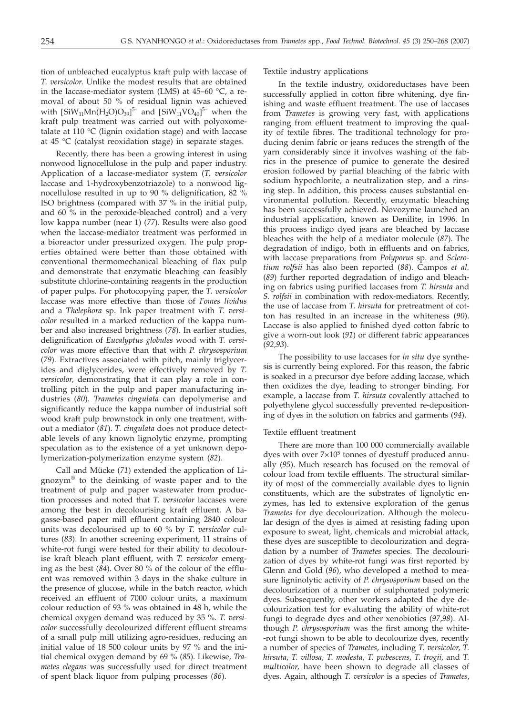tion of unbleached eucalyptus kraft pulp with laccase of *T. versicolor*. Unlike the modest results that are obtained in the laccase-mediator system (LMS) at 45–60 °C, a removal of about 50 % of residual lignin was achieved with  $[SiW_{11}Mn(H_2O)O_{39}]^{5-}$  and  $[SiW_{11}VO_{40}]^{5-}$  when the kraft pulp treatment was carried out with polyoxometalate at 110 °C (lignin oxidation stage) and with laccase at 45 °C (catalyst reoxidation stage) in separate stages.

Recently, there has been a growing interest in using nonwood lignocellulose in the pulp and paper industry. Application of a laccase-mediator system (*T. versicolor* laccase and 1-hydroxybenzotriazole) to a nonwood lignocellulose resulted in up to 90 % delignification, 82 % ISO brightness (compared with 37 % in the initial pulp, and 60 % in the peroxide-bleached control) and a very low kappa number (near 1) (*77*). Results were also good when the laccase-mediator treatment was performed in a bioreactor under pressurized oxygen. The pulp properties obtained were better than those obtained with conventional thermomechanical bleaching of flax pulp and demonstrate that enzymatic bleaching can feasibly substitute chlorine-containing reagents in the production of paper pulps. For photocopying paper, the *T. versicolor* laccase was more effective than those of *Fomes lividus* and a *Thelephora* sp. Ink paper treatment with *T. versicolor* resulted in a marked reduction of the kappa number and also increased brightness (*78*). In earlier studies, delignification of *Eucalyptus globules* wood with *T. versicolor* was more effective than that with *P. chrysosporium* (*79*). Extractives associated with pitch, mainly triglycerides and diglycerides, were effectively removed by *T. versicolor,* demonstrating that it can play a role in controlling pitch in the pulp and paper manufacturing industries (*80*). *Trametes cingulata* can depolymerise and significantly reduce the kappa number of industrial soft wood kraft pulp brownstock in only one treatment, without a mediator (*81*). *T. cingulata* does not produce detectable levels of any known lignolytic enzyme, prompting speculation as to the existence of a yet unknown depolymerization-polymerization enzyme system (*82*).

Call and Mücke (*71*) extended the application of Lignozym® to the deinking of waste paper and to the treatment of pulp and paper wastewater from production processes and noted that *T. versicolor* laccases were among the best in decolourising kraft effluent. A bagasse-based paper mill effluent containing 2840 colour units was decolourised up to 60 % by *T. versicolor* cultures (*83*). In another screening experiment, 11 strains of white-rot fungi were tested for their ability to decolourise kraft bleach plant effluent, with *T. versicolor* emerging as the best (*84*). Over 80 % of the colour of the effluent was removed within 3 days in the shake culture in the presence of glucose, while in the batch reactor, which received an effluent of 7000 colour units, a maximum colour reduction of 93 % was obtained in 48 h, while the chemical oxygen demand was reduced by 35 %. *T. versicolor* successfully decolourized different effluent streams of a small pulp mill utilizing agro-residues, reducing an initial value of 18 500 colour units by 97 % and the initial chemical oxygen demand by 69 % (*85*). Likewise, *Trametes elegans* was successfully used for direct treatment of spent black liquor from pulping processes (*86*).

Textile industry applications

In the textile industry, oxidoreductases have been successfully applied in cotton fibre whitening, dye finishing and waste effluent treatment. The use of laccases from *Trametes* is growing very fast, with applications ranging from effluent treatment to improving the quality of textile fibres. The traditional technology for producing denim fabric or jeans reduces the strength of the yarn considerably since it involves washing of the fabrics in the presence of pumice to generate the desired erosion followed by partial bleaching of the fabric with sodium hypochlorite, a neutralization step, and a rinsing step. In addition, this process causes substantial environmental pollution. Recently, enzymatic bleaching has been successfully achieved. Novozyme launched an industrial application, known as Denilite, in 1996. In this process indigo dyed jeans are bleached by laccase bleaches with the help of a mediator molecule (*87*). The degradation of indigo, both in effluents and on fabrics, with laccase preparations from *Polyporus* sp. and *Sclerotium rolfsii* has also been reported (*88*). Campos *et al.* (*89*) further reported degradation of indigo and bleaching on fabrics using purified laccases from *T. hirsuta* and *S. rolfsii* in combination with redox-mediators. Recently, the use of laccase from *T. hirsuta* for pretreatment of cotton has resulted in an increase in the whiteness (*90*). Laccase is also applied to finished dyed cotton fabric to give a worn-out look (*91*) or different fabric appearances (*92,93*).

The possibility to use laccases for *in situ* dye synthesis is currently being explored. For this reason, the fabric is soaked in a precursor dye before adding laccase, which then oxidizes the dye, leading to stronger binding. For example, a laccase from *T. hirsuta* covalently attached to polyethylene glycol successfully prevented re-depositioning of dyes in the solution on fabrics and garments (*94*).

# Textile effluent treatment

There are more than 100 000 commercially available dyes with over  $7\times10^5$  tonnes of dyestuff produced annually (*95*). Much research has focused on the removal of colour load from textile effluents. The structural similarity of most of the commercially available dyes to lignin constituents, which are the substrates of lignolytic enzymes, has led to extensive exploration of the genus *Trametes* for dye decolourization. Although the molecular design of the dyes is aimed at resisting fading upon exposure to sweat, light, chemicals and microbial attack, these dyes are susceptible to decolourization and degradation by a number of *Trametes* species. The decolourization of dyes by white-rot fungi was first reported by Glenn and Gold (*96*), who developed a method to measure ligninolytic activity of *P. chrysosporium* based on the decolourization of a number of sulphonated polymeric dyes. Subsequently, other workers adapted the dye decolourization test for evaluating the ability of white-rot fungi to degrade dyes and other xenobiotics (*97*,*98*). Although *P. chrysosporium* was the first among the white- -rot fungi shown to be able to decolourize dyes, recently a number of species of *Trametes*, including *T. versicolor, T. hirsuta, T. villosa, T. modesta, T. pubescens, T. trogii,* and *T. multicolor,* have been shown to degrade all classes of dyes. Again, although *T. versicolor* is a species of *Trametes*,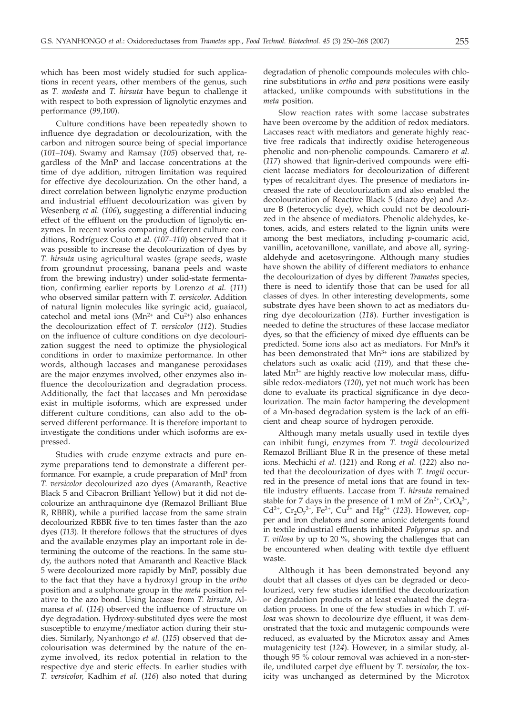which has been most widely studied for such applications in recent years, other members of the genus, such as *T. modesta* and *T. hirsuta* have begun to challenge it with respect to both expression of lignolytic enzymes and performance (*99,100*).

Culture conditions have been repeatedly shown to influence dye degradation or decolourization, with the carbon and nitrogen source being of special importance (*101–104*). Swamy and Ramsay (*105*) observed that, regardless of the MnP and laccase concentrations at the time of dye addition, nitrogen limitation was required for effective dye decolourization. On the other hand, a direct correlation between lignolytic enzyme production and industrial effluent decolourization was given by Wesenberg *et al.* (*106*)**,** suggesting a differential inducing effect of the effluent on the production of lignolytic enzymes. In recent works comparing different culture conditions, Rodríguez Couto *et al.* (*107*–*110*) observed that it was possible to increase the decolourization of dyes by *T. hirsuta* using agricultural wastes (grape seeds, waste from groundnut processing, banana peels and waste from the brewing industry) under solid-state fermentation, confirming earlier reports by Lorenzo *et al.* (*111*) who observed similar pattern with *T. versicolor*. Addition of natural lignin molecules like syringic acid, guaiacol, catechol and metal ions ( $Mn^{2+}$  and  $Cu^{2+}$ ) also enhances the decolourization effect of *T. versicolor* (*112*). Studies on the influence of culture conditions on dye decolourization suggest the need to optimize the physiological conditions in order to maximize performance. In other words, although laccases and manganese peroxidases are the major enzymes involved, other enzymes also influence the decolourization and degradation process. Additionally, the fact that laccases and Mn peroxidase exist in multiple isoforms, which are expressed under different culture conditions, can also add to the observed different performance. It is therefore important to investigate the conditions under which isoforms are expressed.

Studies with crude enzyme extracts and pure enzyme preparations tend to demonstrate a different performance. For example, a crude preparation of MnP from *T. versicolor* decolourized azo dyes (Amaranth, Reactive Black 5 and Cibacron Brilliant Yellow) but it did not decolourize an anthraquinone dye (Remazol Brilliant Blue R, RBBR), while a purified laccase from the same strain decolourized RBBR five to ten times faster than the azo dyes (*113*). It therefore follows that the structures of dyes and the available enzymes play an important role in determining the outcome of the reactions. In the same study, the authors noted that Amaranth and Reactive Black 5 were decolourized more rapidly by MnP, possibly due to the fact that they have a hydroxyl group in the *ortho* position and a sulphonate group in the *meta* position relative to the azo bond. Using laccase from *T. hirsuta,* Almansa *et al.* (*114*) observed the influence of structure on dye degradation. Hydroxy-substituted dyes were the most susceptible to enzyme/mediator action during their studies. Similarly, Nyanhongo *et al.* (*115*) observed that decolourisation was determined by the nature of the enzyme involved, its redox potential in relation to the respective dye and steric effects. In earlier studies with *T. versicolor,* Kadhim *et al.* (*116*) also noted that during

degradation of phenolic compounds molecules with chlorine substitutions in *ortho* and *para* positions were easily attacked, unlike compounds with substitutions in the *meta* position.

Slow reaction rates with some laccase substrates have been overcome by the addition of redox mediators. Laccases react with mediators and generate highly reactive free radicals that indirectly oxidise heterogeneous phenolic and non-phenolic compounds. Camarero *et al.* (*117*) showed that lignin-derived compounds were efficient laccase mediators for decolourization of different types of recalcitrant dyes. The presence of mediators increased the rate of decolourization and also enabled the decolourization of Reactive Black 5 (diazo dye) and Azure B (heterocyclic dye), which could not be decolourized in the absence of mediators. Phenolic aldehydes, ketones, acids, and esters related to the lignin units were among the best mediators, including *p*-coumaric acid, vanillin, acetovanillone, vanillate, and above all, syringaldehyde and acetosyringone. Although many studies have shown the ability of different mediators to enhance the decolourization of dyes by different *Trametes* species, there is need to identify those that can be used for all classes of dyes. In other interesting developments, some substrate dyes have been shown to act as mediators during dye decolourization (*118*). Further investigation is needed to define the structures of these laccase mediator dyes, so that the efficiency of mixed dye effluents can be predicted. Some ions also act as mediators. For MnPs it has been demonstrated that  $Mn^{3+}$  ions are stabilized by chelators such as oxalic acid (*119*), and that these chelated  $Mn^{3+}$  are highly reactive low molecular mass, diffusible redox-mediators (*120*), yet not much work has been done to evaluate its practical significance in dye decolourization. The main factor hampering the development of a Mn-based degradation system is the lack of an efficient and cheap source of hydrogen peroxide.

Although many metals usually used in textile dyes can inhibit fungi, enzymes from *T. trogii* decolourized Remazol Brilliant Blue R in the presence of these metal ions. Mechichi *et al.* (*121*) and Rong *et al.* (*122*) also noted that the decolourization of dyes with *T. trogii* occurred in the presence of metal ions that are found in textile industry effluents. Laccase from *T. hirsuta* remained stable for 7 days in the presence of 1 mM of  $Zn^{2+}$ ,  $CrO<sub>4</sub><sup>3-</sup>$ , Cd<sup>2+</sup>, Cr<sub>2</sub>O<sub>7</sub><sup>2-</sup>, Fe<sup>2+</sup>, Cu<sup>2+</sup> and Hg<sup>2+</sup> (123). However, copper and iron chelators and some anionic detergents found in textile industrial effluents inhibited *Polyporus* sp. and *T. villosa* by up to 20 %, showing the challenges that can be encountered when dealing with textile dye effluent waste.

Although it has been demonstrated beyond any doubt that all classes of dyes can be degraded or decolourized, very few studies identified the decolourization or degradation products or at least evaluated the degradation process. In one of the few studies in which *T. villosa* was shown to decolourize dye effluent, it was demonstrated that the toxic and mutagenic compounds were reduced, as evaluated by the Microtox assay and Ames mutagenicity test (*124*). However, in a similar study, although 95 % colour removal was achieved in a non-sterile, undiluted carpet dye effluent by *T. versicolor*, the toxicity was unchanged as determined by the Microtox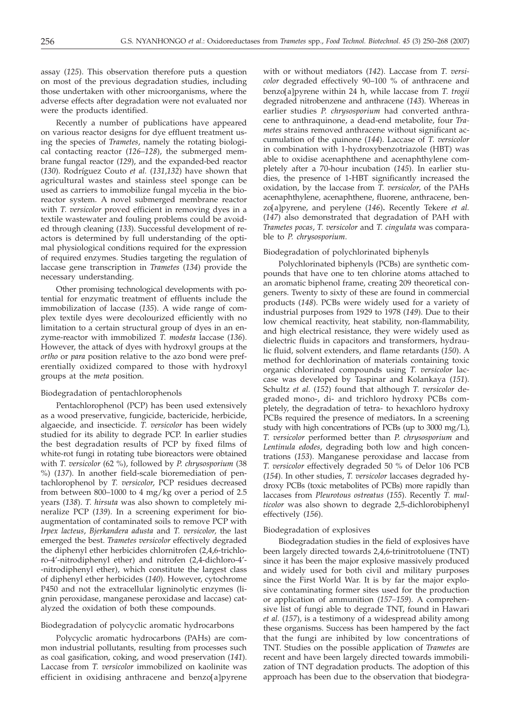assay (*125*). This observation therefore puts a question on most of the previous degradation studies, including those undertaken with other microorganisms, where the adverse effects after degradation were not evaluated nor were the products identified.

Recently a number of publications have appeared on various reactor designs for dye effluent treatment using the species of *Trametes*, namely the rotating biological contacting reactor (*126*–*128*), the submerged membrane fungal reactor (*129*), and the expanded-bed reactor (*130*). Rodríguez Couto *et al.* (*131*,*132*) have shown that agricultural wastes and stainless steel sponge can be used as carriers to immobilize fungal mycelia in the bioreactor system. A novel submerged membrane reactor with *T. versicolor* proved efficient in removing dyes in a textile wastewater and fouling problems could be avoided through cleaning (*133*). Successful development of reactors is determined by full understanding of the optimal physiological conditions required for the expression of required enzymes. Studies targeting the regulation of laccase gene transcription in *Trametes* (*134*) provide the necessary understanding.

Other promising technological developments with potential for enzymatic treatment of effluents include the immobilization of laccase (*135*). A wide range of complex textile dyes were decolourized efficiently with no limitation to a certain structural group of dyes in an enzyme-reactor with immobilized *T. modesta* laccase (*136*). However, the attack of dyes with hydroxyl groups at the *ortho* or *para* position relative to the azo bond were preferentially oxidized compared to those with hydroxyl groups at the *meta* position.

# Biodegradation of pentachlorophenols

Pentachlorophenol (PCP) has been used extensively as a wood preservative, fungicide, bactericide, herbicide, algaecide, and insecticide. *T. versicolor* has been widely studied for its ability to degrade PCP. In earlier studies the best degradation results of PCP by fixed films of white-rot fungi in rotating tube bioreactors were obtained with *T. versicolor* (62 %), followed by *P. chrysosporium* (38 %) (*137*). In another field-scale bioremediation of pentachlorophenol by *T. versicolor*, PCP residues decreased from between 800–1000 to 4 mg/kg over a period of 2.5 years (*138*). *T. hirsuta* was also shown to completely mineralize PCP (*139*). In a screening experiment for bioaugmentation of contaminated soils to remove PCP with *Irpex lacteus*, *Bjerkandera adusta* and *T. versicolor,* the last emerged the best. *Trametes versicolor* effectively degraded the diphenyl ether herbicides chlornitrofen (2,4,6-trichloro-4'-nitrodiphenyl ether) and nitrofen (2,4-dichloro-4'- -nitrodiphenyl ether), which constitute the largest class of diphenyl ether herbicides (*140*). However, cytochrome P450 and not the extracellular ligninolytic enzymes (lignin peroxidase, manganese peroxidase and laccase) catalyzed the oxidation of both these compounds.

# Biodegradation of polycyclic aromatic hydrocarbons

Polycyclic aromatic hydrocarbons (PAHs) are common industrial pollutants, resulting from processes such as coal gasification, coking, and wood preservation (*141*). Laccase from *T. versicolor* immobilized on kaolinite was efficient in oxidising anthracene and benzo[a]pyrene

with or without mediators (*142*). Laccase from *T. versicolor* degraded effectively 90–100 % of anthracene and benzo[a]pyrene within 24 h, while laccase from *T. trogii* degraded nitrobenzene and anthracene (*143*). Whereas in earlier studies *P. chrysosporium* had converted anthracene to anthraquinone, a dead-end metabolite, four *Trametes* strains removed anthracene without significant accumulation of the quinone (*144*). Laccase of *T. versicolor* in combination with 1-hydroxybenzotriazole (HBT) was able to oxidise acenaphthene and acenaphthylene completely after a 70-hour incubation (*145*). In earlier studies, the presence of 1-HBT significantly increased the oxidation, by the laccase from *T. versicolor*, of the PAHs acenaphthylene, acenaphthene, fluorene, anthracene, benzo[a]pyrene, and perylene (*146*)**.** Recently Tekere *et al.* (*147*) also demonstrated that degradation of PAH with *Trametes pocas*, *T. versicolor* and *T. cingulata* was comparable to *P. chrysosporium*.

# Biodegradation of polychlorinated biphenyls

Polychlorinated biphenyls (PCBs) are synthetic compounds that have one to ten chlorine atoms attached to an aromatic biphenol frame, creating 209 theoretical congeners. Twenty to sixty of these are found in commercial products (*148*). PCBs were widely used for a variety of industrial purposes from 1929 to 1978 (*149*). Due to their low chemical reactivity, heat stability, non-flammability, and high electrical resistance, they were widely used as dielectric fluids in capacitors and transformers, hydraulic fluid, solvent extenders, and flame retardants (*150*). A method for dechlorination of materials containing toxic organic chlorinated compounds using *T. versicolor* laccase was developed by Taspinar and Kolankaya (*151*). Schultz *et al.* (*152*) found that although *T. versicolor* degraded mono-, di- and trichloro hydroxy PCBs completely, the degradation of tetra- to hexachloro hydroxy PCBs required the presence of mediators**.** In a screening study with high concentrations of PCBs (up to 3000 mg/L), *T. versicolor* performed better than *P. chrysosporium* and *Lentinula edodes*, degrading both low and high concentrations (*153*). Manganese peroxidase and laccase from *T. versicolor* effectively degraded 50 % of Delor 106 PCB (*154*). In other studies, *T. versicolor* laccases degraded hydroxy PCBs (toxic metabolites of PCBs) more rapidly than laccases from *Pleurotous ostreatus* (*155*). Recently *T. multicolor* was also shown to degrade 2,5-dichlorobiphenyl effectively (*156*).

# Biodegradation of explosives

Biodegradation studies in the field of explosives have been largely directed towards 2,4,6-trinitrotoluene (TNT) since it has been the major explosive massively produced and widely used for both civil and military purposes since the First World War. It is by far the major explosive contaminating former sites used for the production or application of ammunition (*157–159*). A comprehensive list of fungi able to degrade TNT, found in Hawari *et al.* (*157*), is a testimony of a widespread ability among these organisms. Success has been hampered by the fact that the fungi are inhibited by low concentrations of TNT. Studies on the possible application of *Trametes* are recent and have been largely directed towards immobilization of TNT degradation products. The adoption of this approach has been due to the observation that biodegra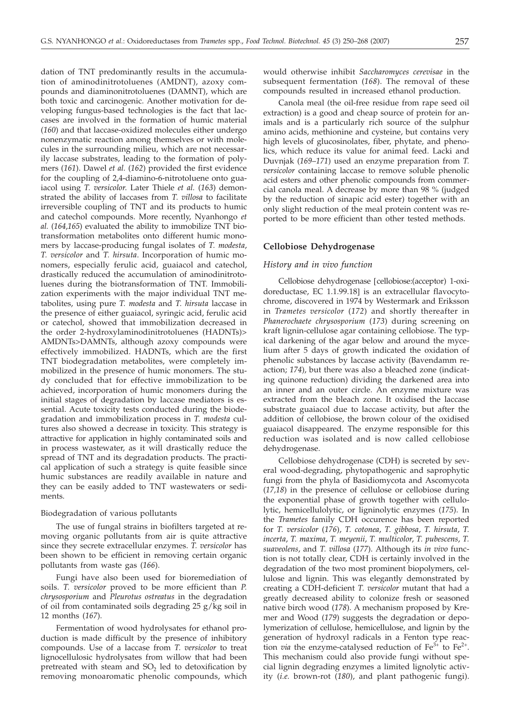dation of TNT predominantly results in the accumulation of aminodinitrotoluenes (AMDNT), azoxy compounds and diaminonitrotoluenes (DAMNT), which are both toxic and carcinogenic. Another motivation for developing fungus-based technologies is the fact that laccases are involved in the formation of humic material (*160*) and that laccase-oxidized molecules either undergo nonenzymatic reaction among themselves or with molecules in the surrounding milieu, which are not necessarily laccase substrates, leading to the formation of polymers (*161*). Dawel *et al.* (*162*) provided the first evidence for the coupling of 2,4-diamino-6-nitrotoluene onto guaiacol using *T. versicolor*. Later Thiele *et al.* (*163*) demonstrated the ability of laccases from *T. villosa* to facilitate irreversible coupling of TNT and its products to humic and catechol compounds. More recently, Nyanhongo *et al.* (*164*,*165*) evaluated the ability to immobilize TNT biotransformation metabolites onto different humic monomers by laccase-producing fungal isolates of *T. modesta*, *T. versicolor* and *T. hirsuta*. Incorporation of humic monomers, especially ferulic acid, guaiacol and catechol, drastically reduced the accumulation of aminodinitrotoluenes during the biotransformation of TNT. Immobilization experiments with the major individual TNT metabolites, using pure *T. modesta* and *T. hirsuta* laccase in the presence of either guaiacol, syringic acid, ferulic acid or catechol, showed that immobilization decreased in the order 2-hydroxylaminodinitrotoluenes (HADNTs)> AMDNTs>DAMNTs, although azoxy compounds were effectively immobilized. HADNTs, which are the first TNT biodegradation metabolites, were completely immobilized in the presence of humic monomers. The study concluded that for effective immobilization to be achieved, incorporation of humic monomers during the initial stages of degradation by laccase mediators is essential. Acute toxicity tests conducted during the biodegradation and immobilization process in *T. modesta* cultures also showed a decrease in toxicity. This strategy is attractive for application in highly contaminated soils and in process wastewater, as it will drastically reduce the spread of TNT and its degradation products. The practical application of such a strategy is quite feasible since humic substances are readily available in nature and they can be easily added to TNT wastewaters or sediments.

# Biodegradation of various pollutants

The use of fungal strains in biofilters targeted at removing organic pollutants from air is quite attractive since they secrete extracellular enzymes. *T. versicolor* has been shown to be efficient in removing certain organic pollutants from waste gas (*166*).

Fungi have also been used for bioremediation of soils. *T. versicolor* proved to be more efficient than *P. chrysosporium* and *Pleurotus ostreatus* in the degradation of oil from contaminated soils degrading 25 g/kg soil in 12 months (*167*).

Fermentation of wood hydrolysates for ethanol production is made difficult by the presence of inhibitory compounds. Use of a laccase from *T. versicolor* to treat lignocellulosic hydrolysates from willow that had been pretreated with steam and  $SO<sub>2</sub>$  led to detoxification by removing monoaromatic phenolic compounds, which

would otherwise inhibit *Saccharomyces cerevisae* in the subsequent fermentation (*168*). The removal of these compounds resulted in increased ethanol production.

Canola meal (the oil-free residue from rape seed oil extraction) is a good and cheap source of protein for animals and is a particularly rich source of the sulphur amino acids, methionine and cysteine, but contains very high levels of glucosinolates, fiber, phytate, and phenolics, which reduce its value for animal feed. Lacki and Duvnjak (*169*–*171*) used an enzyme preparation from *T. versicolor* containing laccase to remove soluble phenolic acid esters and other phenolic compounds from commercial canola meal. A decrease by more than 98 % (judged by the reduction of sinapic acid ester) together with an only slight reduction of the meal protein content was reported to be more efficient than other tested methods.

# **Cellobiose Dehydrogenase**

# *History and in vivo function*

Cellobiose dehydrogenase [cellobiose:(acceptor) 1-oxidoreductase, EC 1.1.99.18] is an extracellular flavocytochrome, discovered in 1974 by Westermark and Eriksson in *Trametes versicolor* (*172*) and shortly thereafter in *Phanerochaete chrysosporium* (*173*) during screening on kraft lignin-cellulose agar containing cellobiose. The typical darkening of the agar below and around the mycelium after 5 days of growth indicated the oxidation of phenolic substances by laccase activity (Bavendamm reaction; *174*), but there was also a bleached zone (indicating quinone reduction) dividing the darkened area into an inner and an outer circle. An enzyme mixture was extracted from the bleach zone. It oxidised the laccase substrate guaiacol due to laccase activity, but after the addition of cellobiose, the brown colour of the oxidised guaiacol disappeared. The enzyme responsible for this reduction was isolated and is now called cellobiose dehydrogenase.

Cellobiose dehydrogenase (CDH) is secreted by several wood-degrading, phytopathogenic and saprophytic fungi from the phyla of Basidiomycota and Ascomycota (*17,18*) in the presence of cellulose or cellobiose during the exponential phase of growth together with cellulolytic, hemicellulolytic, or ligninolytic enzymes (*175*). In the *Trametes* family CDH occurence has been reported for *T. versicolor* (*176*), *T. cotonea*, *T. gibbosa*, *T. hirsuta*, *T. incerta*, *T. maxima*, *T. meyenii*, *T. multicolor*, *T. pubescens*, *T. suaveolens*, and *T. villosa* (*177*). Although its *in vivo* function is not totally clear, CDH is certainly involved in the degradation of the two most prominent biopolymers, cellulose and lignin. This was elegantly demonstrated by creating a CDH-deficient *T. versicolor* mutant that had a greatly decreased ability to colonize fresh or seasoned native birch wood (*178*). A mechanism proposed by Kremer and Wood (*179*) suggests the degradation or depolymerization of cellulose, hemicellulose, and lignin by the generation of hydroxyl radicals in a Fenton type reaction *via* the enzyme-catalysed reduction of  $Fe^{3+}$  to  $Fe^{2+}$ . This mechanism could also provide fungi without special lignin degrading enzymes a limited lignolytic activity (*i.e.* brown-rot (*180*), and plant pathogenic fungi).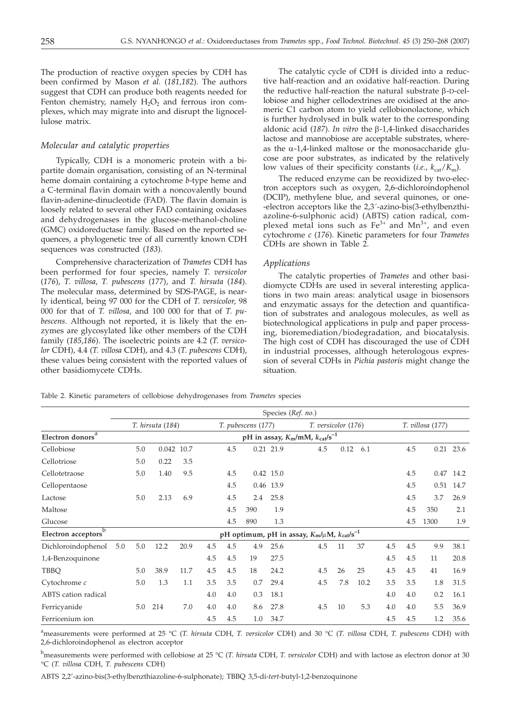The production of reactive oxygen species by CDH has been confirmed by Mason *et al.* (*181,182*). The authors suggest that CDH can produce both reagents needed for Fenton chemistry, namely  $H_2O_2$  and ferrous iron complexes, which may migrate into and disrupt the lignocellulose matrix.

# *Molecular and catalytic properties*

Typically, CDH is a monomeric protein with a bipartite domain organisation, consisting of an N-terminal heme domain containing a cytochrome *b*-type heme and a C-terminal flavin domain with a noncovalently bound flavin-adenine-dinucleotide (FAD). The flavin domain is loosely related to several other FAD containing oxidases and dehydrogenases in the glucose-methanol-choline (GMC) oxidoreductase family. Based on the reported sequences, a phylogenetic tree of all currently known CDH sequences was constructed (*183*).

Comprehensive characterization of *Trametes* CDH has been performed for four species, namely *T. versicolor* (*176*), *T. villosa, T. pubescens* (*177*), and *T. hirsuta* (*184*). The molecular mass, determined by SDS-PAGE, is nearly identical, being 97 000 for the CDH of *T. versicolor*, 98 000 for that of *T. villosa*, and 100 000 for that of *T. pubescens*. Although not reported, it is likely that the enzymes are glycosylated like other members of the CDH family (*185*,*186*). The isoelectric points are 4.2 (*T. versicolor* CDH), 4.4 (*T. villosa* CDH), and 4.3 (*T. pubescens* CDH), these values being consistent with the reported values of other basidiomycete CDHs.

The catalytic cycle of CDH is divided into a reductive half-reaction and an oxidative half-reaction. During the reductive half-reaction the natural substrate  $\beta$ -D-cellobiose and higher cellodextrines are oxidised at the anomeric C1 carbon atom to yield cellobionolactone, which is further hydrolysed in bulk water to the corresponding aldonic acid (*187*). *In vitro* the b-1,4-linked disaccharides lactose and mannobiose are acceptable substrates, whereas the  $\alpha$ -1,4-linked maltose or the monosaccharide glucose are poor substrates, as indicated by the relatively low values of their specificity constants (*i.e.*,  $k_{cat}/K_m$ ).

The reduced enzyme can be reoxidized by two-electron acceptors such as oxygen, 2,6-dichloroindophenol (DCIP), methylene blue, and several quinones, or one- -electron acceptors like the 2,3´-azino-bis(3-ethylbenzthiazoline-6-sulphonic acid) (ABTS) cation radical, complexed metal ions such as  $Fe^{3+}$  and  $Mn^{3+}$ , and even cytochrome *c* (*176*). Kinetic parameters for four *Trametes* CDHs are shown in Table 2.

# *Applications*

The catalytic properties of *Trametes* and other basidiomycte CDHs are used in several interesting applications in two main areas: analytical usage in biosensors and enzymatic assays for the detection and quantification of substrates and analogous molecules, as well as biotechnological applications in pulp and paper processing, bioremediation/biodegradation, and biocatalysis. The high cost of CDH has discouraged the use of CDH in industrial processes, although heterologous expression of several CDHs in *Pichia pastoris* might change the situation.

Table 2. Kinetic parameters of cellobiose dehydrogenases from *Trametes* species

|                         |     | Species (Ref. no.) |                  |      |     |                                          |                    |           |                                                         |     |                     |      |     |     |                  |             |
|-------------------------|-----|--------------------|------------------|------|-----|------------------------------------------|--------------------|-----------|---------------------------------------------------------|-----|---------------------|------|-----|-----|------------------|-------------|
|                         |     |                    | T. hirsuta (184) |      |     |                                          | T. pubescens (177) |           |                                                         |     | T. versicolor (176) |      |     |     | T. villosa (177) |             |
| a<br>Electron donors    |     |                    |                  |      |     | pH in assay, $K_m/mM$ , $k_{cat}/s^{-1}$ |                    |           |                                                         |     |                     |      |     |     |                  |             |
| Cellobiose              |     | 5.0                | 0.042 10.7       |      |     | 4.5                                      |                    | 0.21 21.9 |                                                         | 4.5 | 0.12                | 6.1  |     | 4.5 |                  | $0.21$ 23.6 |
| Cellotriose             |     | 5.0                | 0.22             | 3.5  |     |                                          |                    |           |                                                         |     |                     |      |     |     |                  |             |
| Cellotetraose           |     | 5.0                | 1.40             | 9.5  |     | 4.5                                      |                    | 0.42 15.0 |                                                         |     |                     |      |     | 4.5 |                  | 0.47 14.2   |
| Cellopentaose           |     |                    |                  |      |     | 4.5                                      |                    | 0.46 13.9 |                                                         |     |                     |      |     | 4.5 | 0.51             | 14.7        |
| Lactose                 |     | 5.0                | 2.13             | 6.9  |     | 4.5                                      | 2.4                | 25.8      |                                                         |     |                     |      |     | 4.5 | 3.7              | 26.9        |
| Maltose                 |     |                    |                  |      |     | 4.5                                      | 390                | 1.9       |                                                         |     |                     |      |     | 4.5 | 350              | 2.1         |
| Glucose                 |     |                    |                  |      |     | 4.5                                      | 890                | 1.3       |                                                         |     |                     |      |     | 4.5 | 1300             | 1.9         |
| b<br>Electron acceptors |     |                    |                  |      |     |                                          |                    |           | pH optimum, pH in assay, $K_m/\mu M$ , $k_{cat}/s^{-1}$ |     |                     |      |     |     |                  |             |
| Dichloroindophenol      | 5.0 | 5.0                | 12.2             | 20.9 | 4.5 | 4.5                                      | 4.9                | 25.6      |                                                         | 4.5 | 11                  | 37   | 4.5 | 4.5 | 9.9              | 38.1        |
| 1,4-Benzoquinone        |     |                    |                  |      | 4.5 | 4.5                                      | 19                 | 27.5      |                                                         |     |                     |      | 4.5 | 4.5 | 11               | 20.8        |
| TBBQ                    |     | 5.0                | 38.9             | 11.7 | 4.5 | 4.5                                      | 18                 | 24.2      |                                                         | 4.5 | 26                  | 25   | 4.5 | 4.5 | 41               | 16.9        |
| Cytochrome c            |     | 5.0                | 1.3              | 1.1  | 3.5 | 3.5                                      | 0.7                | 29.4      |                                                         | 4.5 | 7.8                 | 10.2 | 3.5 | 3.5 | 1.8              | 31.5        |
| ABTS cation radical     |     |                    |                  |      | 4.0 | 4.0                                      | 0.3                | 18.1      |                                                         |     |                     |      | 4.0 | 4.0 | 0.2              | 16.1        |
| Ferricyanide            |     | 5.0                | 214              | 7.0  | 4.0 | 4.0                                      | 8.6                | 27.8      |                                                         | 4.5 | 10                  | 5.3  | 4.0 | 4.0 | 5.5              | 36.9        |
| Ferricenium ion         |     |                    |                  |      | 4.5 | 4.5                                      | 1.0                | 34.7      |                                                         |     |                     |      | 4.5 | 4.5 | 1.2              | 35.6        |

a measurements were performed at 25 °C (*T. hirsuta* CDH, *T. versicolor* CDH) and 30 °C (*T. villosa* CDH, *T. pubescens* CDH) with 2,6-dichloroindophenol as electron acceptor

b measurements were performed with cellobiose at 25 °C (*T. hirsuta* CDH, *T. versicolor* CDH) and with lactose as electron donor at 30 °C (*T. villosa* CDH, *T. pubescens* CDH)

ABTS 2,2'-azino-bis(3-ethylbenzthiazoline-6-sulphonate); TBBQ 3,5-di-*tert*-butyl-1,2-benzoquinone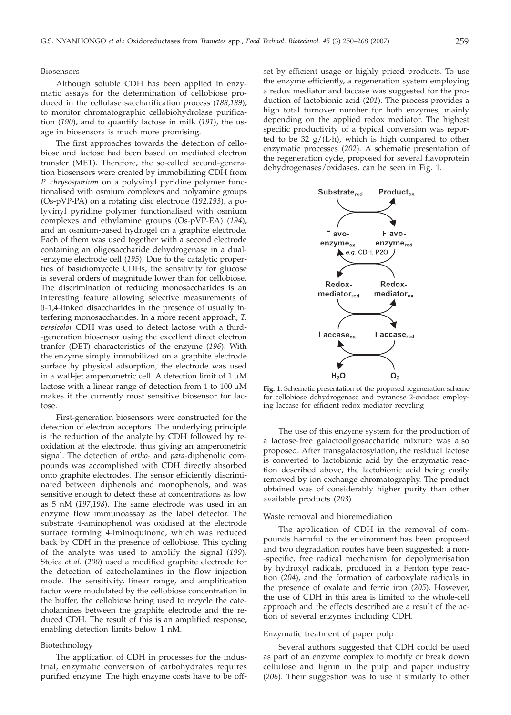# Biosensors

Although soluble CDH has been applied in enzymatic assays for the determination of cellobiose produced in the cellulase saccharification process (*188*,*189*), to monitor chromatographic cellobiohydrolase purification (*190*), and to quantify lactose in milk (*191*), the usage in biosensors is much more promising.

The first approaches towards the detection of cellobiose and lactose had been based on mediated electron transfer (MET). Therefore, the so-called second-generation biosensors were created by immobilizing CDH from *P. chrysosporium* on a polyvinyl pyridine polymer functionalised with osmium complexes and polyamine groups (Os-pVP-PA) on a rotating disc electrode (*192*,*193*), a polyvinyl pyridine polymer functionalised with osmium complexes and ethylamine groups (Os-pVP-EA) (*194*), and an osmium-based hydrogel on a graphite electrode. Each of them was used together with a second electrode containing an oligosaccharide dehydrogenase in a dual- -enzyme electrode cell (*195*). Due to the catalytic properties of basidiomycete CDHs, the sensitivity for glucose is several orders of magnitude lower than for cellobiose. The discrimination of reducing monosaccharides is an interesting feature allowing selective measurements of  $\beta$ -1,4-linked disaccharides in the presence of usually interfering monosaccharides. In a more recent approach, *T. versicolor* CDH was used to detect lactose with a third- -generation biosensor using the excellent direct electron tranfer (DET) characteristics of the enzyme (*196*). With the enzyme simply immobilized on a graphite electrode surface by physical adsorption, the electrode was used in a wall-jet amperometric cell. A detection limit of  $1 \mu M$ lactose with a linear range of detection from 1 to  $100 \mu M$ makes it the currently most sensitive biosensor for lactose.

First-generation biosensors were constructed for the detection of electron acceptors. The underlying principle is the reduction of the analyte by CDH followed by reoxidation at the electrode, thus giving an amperometric signal. The detection of *ortho*- and *para*-diphenolic compounds was accomplished with CDH directly absorbed onto graphite electrodes. The sensor efficiently discriminated between diphenols and monophenols, and was sensitive enough to detect these at concentrations as low as 5 nM (*197*,*198*). The same electrode was used in an enzyme flow immunoassay as the label detector. The substrate 4-aminophenol was oxidised at the electrode surface forming 4-iminoquinone, which was reduced back by CDH in the presence of cellobiose. This cycling of the analyte was used to amplify the signal (*199*). Stoica *et al.* (*200*) used a modified graphite electrode for the detection of catecholamines in the flow injection mode. The sensitivity, linear range, and amplification factor were modulated by the cellobiose concentration in the buffer, the cellobiose being used to recycle the catecholamines between the graphite electrode and the reduced CDH. The result of this is an amplified response, enabling detection limits below 1 nM.

#### Biotechnology

The application of CDH in processes for the industrial, enzymatic conversion of carbohydrates requires purified enzyme. The high enzyme costs have to be offset by efficient usage or highly priced products. To use the enzyme efficiently, a regeneration system employing a redox mediator and laccase was suggested for the production of lactobionic acid (*201*). The process provides a high total turnover number for both enzymes, mainly depending on the applied redox mediator. The highest specific productivity of a typical conversion was reported to be 32  $g/(L \cdot h)$ , which is high compared to other enzymatic processes (*202*). A schematic presentation of the regeneration cycle, proposed for several flavoprotein dehydrogenases/oxidases, can be seen in Fig. 1.



**Fig. 1.** Schematic presentation of the proposed regeneration scheme for cellobiose dehydrogenase and pyranose 2-oxidase employing laccase for efficient redox mediator recycling

The use of this enzyme system for the production of a lactose-free galactooligosaccharide mixture was also proposed. After transgalactosylation, the residual lactose is converted to lactobionic acid by the enzymatic reaction described above, the lactobionic acid being easily removed by ion-exchange chromatography. The product obtained was of considerably higher purity than other available products (*203*).

# Waste removal and bioremediation

The application of CDH in the removal of compounds harmful to the environment has been proposed and two degradation routes have been suggested: a non- -specific, free radical mechanism for depolymerisation by hydroxyl radicals, produced in a Fenton type reaction (*204*), and the formation of carboxylate radicals in the presence of oxalate and ferric iron (*205*). However, the use of CDH in this area is limited to the whole-cell approach and the effects described are a result of the action of several enzymes including CDH.

# Enzymatic treatment of paper pulp

Several authors suggested that CDH could be used as part of an enzyme complex to modify or break down cellulose and lignin in the pulp and paper industry (*206*). Their suggestion was to use it similarly to other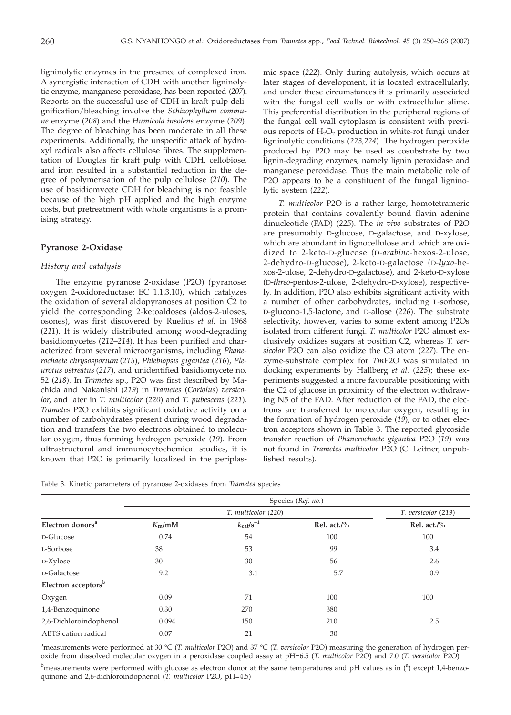ligninolytic enzymes in the presence of complexed iron. A synergistic interaction of CDH with another ligninolytic enzyme, manganese peroxidase, has been reported (*207*). Reports on the successful use of CDH in kraft pulp delignification/bleaching involve the *Schizophyllum commune* enzyme (*208*) and the *Humicola insolens* enzyme (*209*). The degree of bleaching has been moderate in all these experiments. Additionally, the unspecific attack of hydroxyl radicals also affects cellulose fibres. The supplementation of Douglas fir kraft pulp with CDH, cellobiose, and iron resulted in a substantial reduction in the degree of polymerisation of the pulp cellulose (*210*). The use of basidiomycete CDH for bleaching is not feasible because of the high pH applied and the high enzyme costs, but pretreatment with whole organisms is a promising strategy.

# **Pyranose 2-Oxidase**

# *History and catalysis*

The enzyme pyranose 2-oxidase (P2O) (pyranose: oxygen 2-oxidoreductase; EC 1.1.3.10), which catalyzes the oxidation of several aldopyranoses at position C2 to yield the corresponding 2-ketoaldoses (aldos-2-uloses, osones), was first discovered by Ruelius *et al.* in 1968 (*211*). It is widely distributed among wood-degrading basidiomycetes (*212–214*). It has been purified and characterized from several microorganisms, including *Phanerochaete chrysosporium* (*215*), *Phlebiopsis gigantea* (*216*), *Pleurotus ostreatus* (*217*), and unidentified basidiomycete no. 52 (*218*). In *Trametes* sp., P2O was first described by Machida and Nakanishi (*219*) in *Trametes* (*Coriolus*) *versicolor*, and later in *T. multicolor* (*220*) and *T. pubescens* (*221*). *Trametes* P2O exhibits significant oxidative activity on a number of carbohydrates present during wood degradation and transfers the two electrons obtained to molecular oxygen, thus forming hydrogen peroxide (*19*). From ultrastructural and immunocytochemical studies, it is known that P2O is primarily localized in the periplasmic space (*222*). Only during autolysis, which occurs at later stages of development, it is located extracellularly, and under these circumstances it is primarily associated with the fungal cell walls or with extracellular slime. This preferential distribution in the peripheral regions of the fungal cell wall cytoplasm is consistent with previous reports of  $H_2O_2$  production in white-rot fungi under ligninolytic conditions (*223,224*). The hydrogen peroxide produced by P2O may be used as cosubstrate by two lignin-degrading enzymes, namely lignin peroxidase and manganese peroxidase. Thus the main metabolic role of P2O appears to be a constituent of the fungal ligninolytic system (*222*).

*T. multicolor* P2O is a rather large, homotetrameric protein that contains covalently bound flavin adenine dinucleotide (FAD) (*225*). The *in vivo* substrates of P2O are presumably D-glucose, D-galactose, and D-xylose, which are abundant in lignocellulose and which are oxidized to 2-keto-D-glucose (D-*arabino*-hexos-2-ulose, 2-dehydro-D-glucose), 2-keto-D-galactose (D-*lyxo*-hexos-2-ulose, 2-dehydro-D-galactose), and 2-keto-D-xylose (D-*threo*-pentos-2-ulose, 2-dehydro-D-xylose), respectively. In addition, P2O also exhibits significant activity with a number of other carbohydrates, including L-sorbose, D-glucono-1,5-lactone, and D-allose (*226*). The substrate selectivity, however, varies to some extent among P2Os isolated from different fungi. *T. multicolor* P2O almost exclusively oxidizes sugars at position C2, whereas *T. versicolor* P2O can also oxidize the C3 atom (*227*). The enzyme-substrate complex for *Tm*P2O was simulated in docking experiments by Hallberg *et al.* (*225*); these experiments suggested a more favourable positioning with the C2 of glucose in proximity of the electron withdrawing N5 of the FAD. After reduction of the FAD, the electrons are transferred to molecular oxygen, resulting in the formation of hydrogen peroxide (*19*), or to other electron acceptors shown in Table 3. The reported glycoside transfer reaction of *Phanerochaete gigantea* P2O (*19*) was not found in *Trametes multicolor* P2O (C. Leitner, unpublished results).

| Table 3. Kinetic parameters of pyranose 2-oxidases from Trametes species |
|--------------------------------------------------------------------------|
|--------------------------------------------------------------------------|

|                                 | Species (Ref. no.) |                         |                |                |  |  |  |  |  |  |
|---------------------------------|--------------------|-------------------------|----------------|----------------|--|--|--|--|--|--|
|                                 |                    | T. versicolor (219)     |                |                |  |  |  |  |  |  |
| Electron donors <sup>a</sup>    | $K_m/mM$           | $k_{\text{cat}}/s^{-1}$ | Rel. $act./\%$ | Rel. $act./\%$ |  |  |  |  |  |  |
| D-Glucose                       | 0.74               | 54                      | 100            | 100            |  |  |  |  |  |  |
| L-Sorbose                       | 38                 | 53                      | 99             | 3.4            |  |  |  |  |  |  |
| D-Xylose                        | 30                 | 30                      | 56             | 2.6            |  |  |  |  |  |  |
| D-Galactose                     | 9.2                | 3.1                     | 5.7            | 0.9            |  |  |  |  |  |  |
| Electron acceptors <sup>b</sup> |                    |                         |                |                |  |  |  |  |  |  |
| Oxygen                          | 0.09               | 71                      | 100            | 100            |  |  |  |  |  |  |
| 1,4-Benzoquinone                | 0.30               | 270                     | 380            |                |  |  |  |  |  |  |
| 2,6-Dichloroindophenol          | 0.094              | 150                     | 210            | 2.5            |  |  |  |  |  |  |
| ABTS cation radical             | 0.07               | 21                      | 30             |                |  |  |  |  |  |  |

a measurements were performed at 30 °C (*T. multicolor* P2O) and 37 °C (*T. versicolor* P2O) measuring the generation of hydrogen peroxide from dissolved molecular oxygen in a peroxidase coupled assay at pH=6.5 (*T. multicolor* P2O) and 7.0 (*T. versicolor* P2O)

 $^{\rm b}$ measurements were performed with glucose as electron donor at the same temperatures and pH values as in (<sup>a</sup>) except 1,4-benzoquinone and 2,6-dichloroindophenol (*T. multicolor* P2O, pH=4.5)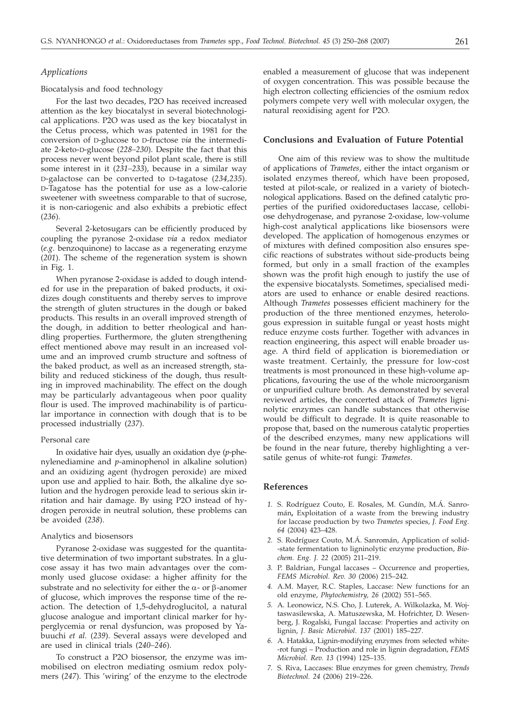# *Applications*

# Biocatalysis and food technology

For the last two decades, P2O has received increased attention as the key biocatalyst in several biotechnological applications. P2O was used as the key biocatalyst in the Cetus process, which was patented in 1981 for the conversion of D-glucose to D-fructose *via* the intermediate 2-keto-D-glucose (*228–230*). Despite the fact that this process never went beyond pilot plant scale, there is still some interest in it (*231–233*), because in a similar way D-galactose can be converted to D-tagatose (*234,235*). D-Tagatose has the potential for use as a low-calorie sweetener with sweetness comparable to that of sucrose, it is non-cariogenic and also exhibits a prebiotic effect (*236*).

Several 2-ketosugars can be efficiently produced by coupling the pyranose 2-oxidase *via* a redox mediator (*e.g*. benzoquinone) to laccase as a regenerating enzyme (*201*). The scheme of the regeneration system is shown in Fig. 1.

When pyranose 2-oxidase is added to dough intended for use in the preparation of baked products, it oxidizes dough constituents and thereby serves to improve the strength of gluten structures in the dough or baked products. This results in an overall improved strength of the dough, in addition to better rheological and handling properties. Furthermore, the gluten strengthening effect mentioned above may result in an increased volume and an improved crumb structure and softness of the baked product, as well as an increased strength, stability and reduced stickiness of the dough, thus resulting in improved machinability. The effect on the dough may be particularly advantageous when poor quality flour is used. The improved machinability is of particular importance in connection with dough that is to be processed industrially (*237*).

#### Personal care

In oxidative hair dyes, usually an oxidation dye (*p*-phenylenediamine and *p*-aminophenol in alkaline solution) and an oxidizing agent (hydrogen peroxide) are mixed upon use and applied to hair. Both, the alkaline dye solution and the hydrogen peroxide lead to serious skin irritation and hair damage. By using P2O instead of hydrogen peroxide in neutral solution, these problems can be avoided (*238*).

# Analytics and biosensors

Pyranose 2-oxidase was suggested for the quantitative determination of two important substrates. In a glucose assay it has two main advantages over the commonly used glucose oxidase: a higher affinity for the substrate and no selectivity for either the  $\alpha$ - or  $\beta$ -anomer of glucose, which improves the response time of the reaction. The detection of 1,5-dehydroglucitol, a natural glucose analogue and important clinical marker for hyperglycemia or renal dysfuncion, was proposed by Yabuuchi *et al.* (*239*). Several assays were developed and are used in clinical trials (2*40–246*).

To construct a P2O biosensor, the enzyme was immobilised on electron mediating osmium redox polymers (*247*). This 'wiring' of the enzyme to the electrode enabled a measurement of glucose that was indepenent of oxygen concentration. This was possible because the high electron collecting efficiencies of the osmium redox polymers compete very well with molecular oxygen, the natural reoxidising agent for P2O.

# **Conclusions and Evaluation of Future Potential**

One aim of this review was to show the multitude of applications of *Trametes*, either the intact organism or isolated enzymes thereof, which have been proposed, tested at pilot-scale, or realized in a variety of biotechnological applications. Based on the defined catalytic properties of the purified oxidoreductases laccase, cellobiose dehydrogenase, and pyranose 2-oxidase, low-volume high-cost analytical applications like biosensors were developed. The application of homogenous enzymes or of mixtures with defined composition also ensures specific reactions of substrates without side-products being formed, but only in a small fraction of the examples shown was the profit high enough to justify the use of the expensive biocatalysts. Sometimes, specialised mediators are used to enhance or enable desired reactions. Although *Trametes* possesses efficient machinery for the production of the three mentioned enzymes, heterologous expression in suitable fungal or yeast hosts might reduce enzyme costs further. Together with advances in reaction engineering, this aspect will enable broader usage. A third field of application is bioremediation or waste treatment. Certainly, the pressure for low-cost treatments is most pronounced in these high-volume applications, favouring the use of the whole microorganism or unpurified culture broth. As demonstrated by several reviewed articles, the concerted attack of *Trametes* ligninolytic enzymes can handle substances that otherwise would be difficult to degrade. It is quite reasonable to propose that, based on the numerous catalytic properties of the described enzymes, many new applications will be found in the near future, thereby highlighting a versatile genus of white-rot fungi: *Trametes*.

# **References**

- *1.* S. Rodríguez Couto, E. Rosales, M. Gundín, M.Á. Sanromán**,** Exploitation of a waste from the brewing industry for laccase production by two *Trametes* species, *J. Food Eng. 64* (2004) 423–428.
- *2.* S. Rodríguez Couto, M.Á. Sanromán, Application of solid- -state fermentation to ligninolytic enzyme production, *Biochem. Eng. J. 22* (2005) 211–219.
- *3.* P. Baldrian, Fungal laccases Occurrence and properties, *FEMS Microbiol. Rev. 30* (2006) 215–242.
- *4.* A.M. Mayer, R.C. Staples, Laccase: New functions for an old enzyme, *Phytochemistry, 26* (2002) 551–565.
- *5.* A. Leonowicz, N.S. Cho, J. Luterek, A. Wilkolazka, M. Wojtaswasilewska, A. Matuszewska, M. Hofrichter, D. Wesenberg, J. Rogalski, Fungal laccase: Properties and activity on lignin, *J. Basic Microbiol. 137* (2001) 185–227.
- *6.* A. Hatakka, Lignin-modifying enzymes from selected white- -rot fungi – Production and role in lignin degradation, *FEMS Microbiol. Rev. 13* (1994) 125–135.
- *7.* S. Riva, Laccases: Blue enzymes for green chemistry, *Trends Biotechnol. 24* (2006) 219–226.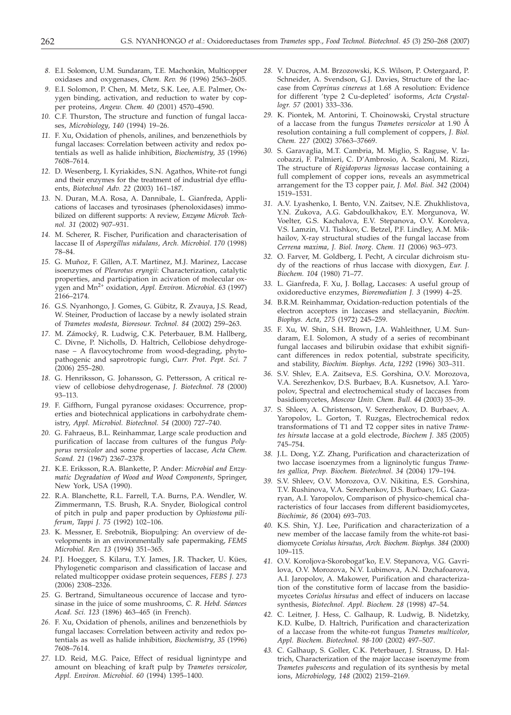- *8.* E.I. Solomon, U.M. Sundaram, T.E. Machonkin, Multicopper oxidases and oxygenases, *Chem. Rev. 96* (1996) 2563–2605.
- *9.* E.I. Solomon, P. Chen, M. Metz, S.K. Lee, A.E. Palmer, Oxygen binding, activation, and reduction to water by copper proteins, *Angew. Chem. 40* (2001) 4570–4590.
- *10.* C.F. Thurston, The structure and function of fungal laccases, *Microbiology*, *140* (1994) 19–26.
- *11.* F. Xu, Oxidation of phenols, anilines, and benzenethiols by fungal laccases: Correlation between activity and redox potentials as well as halide inhibition, *Biochemistry*, *35* (1996) 7608–7614.
- *12.* D. Wesenberg, I. Kyriakides, S.N. Agathos, White-rot fungi and their enzymes for the treatment of industrial dye effluents, *Biotechnol Adv. 22* (2003) 161–187.
- *13.* N. Duran, M.A. Rosa, A. Dannibale, L. Gianfreda, Applications of laccases and tyrosinases (phenoloxidases) immobilized on different supports: A review, *Enzyme Microb. Technol. 31* (2002) 907–931.
- *14.* M. Scherer, R. Fischer, Purification and characterisation of laccase II of *Aspergillus nidulans*, *Arch. Microbiol. 170* (1998) 78–84.
- *15.* G. Muñoz, F. Gillen, A.T. Martinez, M.J. Marinez, Laccase isoenzymes of *Pleurotus eryngii*: Characterization, catalytic properties, and participation in acivation of molecular oxygen and Mn2+ oxidation, *Appl. Environ. Microbiol. 63* (1997) 2166–2174.
- *16.* G.S. Nyanhongo, J. Gomes, G. Gübitz, R. Zvauya, J.S. Read, W. Steiner, Production of laccase by a newly isolated strain of *Trametes modesta*, *Bioresour. Technol. 84* (2002) 259–263.
- *17.* M. Zámocký, R. Ludwig, C.K. Peterbauer, B.M. Hallberg, C. Divne, P. Nicholls, D. Haltrich, Cellobiose dehydrogenase – A flavocytochrome from wood-degrading, phytopathogenic and saprotropic fungi, *Curr. Prot. Pept. Sci. 7* (2006) 255–280.
- *18.* G. Henriksson, G. Johansson, G. Pettersson, A critical review of cellobiose dehydrogenase, *J. Biotechnol. 78* (2000) 93–113.
- *19.* F. Giffhorn, Fungal pyranose oxidases: Occurrence, properties and biotechnical applications in carbohydrate chemistry, *Appl. Microbiol. Biotechnol. 54* (2000) 727–740.
- *20.* G. Fahraeus, B.L. Reinhammar, Large scale production and purification of laccase from cultures of the fungus *Polyporus versicolor* and some properties of laccase, *Acta Chem. Scand. 21* (1967) 2367–2378.
- *21.* K.E. Eriksson, R.A. Blankette, P. Ander: *Microbial and Enzymatic Degradation of Wood and Wood Components*, Springer, New York, USA (1990).
- *22.* R.A. Blanchette, R.L. Farrell, T.A. Burns, P.A. Wendler, W. Zimmermann, T.S. Brush, R.A. Snyder, Biological control of pitch in pulp and paper production by *Ophiostoma piliferum*, *Tappi J. 75* (1992) 102–106.
- *23.* K. Messner, E. Srebotnik, Biopulping: An overview of developments in an environmentally safe papermaking, *FEMS Microbiol. Rev*. *13* (1994) 351–365.
- *24.* P.J. Hoegger, S. Kilaru, T.Y. James, J.R. Thacker, U. Kües, Phylogenetic comparison and classification of laccase and related multicopper oxidase protein sequences, *FEBS J. 273* (2006) 2308–2326.
- *25.* G. Bertrand, Simultaneous occurence of laccase and tyrosinase in the juice of some mushrooms, *C. R. Hebd. Séances Acad. Sci. 123* (1896) 463–465 (in French).
- *26.* F. Xu, Oxidation of phenols, anilines and benzenethiols by fungal laccases: Correlation between activity and redox potentials as well as halide inhibition, *Biochemistry*, *35* (1996) 7608–7614.
- *27.* I.D. Reid, M.G. Paice, Effect of residual lignintype and amount on bleaching of kraft pulp by *Trametes versicolor*, *Appl. Environ. Microbiol. 60* (1994) 1395–1400.
- *28.* V. Ducros, A.M. Brzozowski, K.S. Wilson, P. Ostergaard, P. Schneider, A. Svendson, G.J. Davies, Structure of the laccase from *Coprinus cinereus* at 1.68 A resolution: Evidence for different 'type 2 Cu-depleted' isoforms, *Acta Crystallogr. 57* (2001) 333–336.
- *29.* K. Piontek, M. Antorini, T. Choinowski, Crystal structure of a laccase from the fungus *Trametes versicolor* at 1.90 Å resolution containing a full complement of coppers, *J. Biol. Chem. 227* (2002) 37663–37669.
- *30.* S. Garavaglia, M.T. Cambria, M. Miglio, S. Raguse, V. Iacobazzi, F. Palmieri, C. D'Ambrosio, A. Scaloni, M. Rizzi, The structure of *Rigidoporus lignosus* laccase containing a full complement of copper ions, reveals an asymmetrical arrangement for the T3 copper pair, *J. Mol. Biol. 342* (2004) 1519–1531.
- *31.* A.V. Lyashenko, I. Bento, V.N. Zaitsev, N.E. Zhukhlistova, Y.N. Zukova, A.G. Gabdoulkhakov, E.Y. Morgunova, W. Voelter, G.S. Kachalova, E.V. Stepanova, O.V. Koroleva, V.S. Lamzin, V.I. Tishkov, C. Betzel, P.F. Lindley, A.M. Mikhailov, X-ray structural studies of the fungal laccase from *Cerrena maxima*, *J. Biol. Inorg. Chem. 11* (2006) 963–973.
- *32.* O. Farver, M. Goldberg, I. Pecht, A circular dichroism study of the reactions of rhus laccase with dioxygen, *Eur. J. Biochem. 104* (1980) 71–77.
- *33.* L. Gianfreda, F. Xu, J. Bollag, Laccases: A useful group of oxidoreductive enzymes, *Bioremediation J. 3* (1999) 4–25.
- *34.* B.R.M. Reinhammar, Oxidation-reduction potentials of the electron acceptors in laccases and stellacyanin, *Biochim. Biophys. Acta*, *275* (1972) 245–259.
- *35.* F. Xu, W. Shin, S.H. Brown, J.A. Wahleithner, U.M. Sundaram, E.I. Solomon, A study of a series of recombinant fungal laccases and bilirubin oxidase that exhibit significant differences in redox potential, substrate specificity, and stability, *Biochim. Biophys. Acta*, *1292* (1996) 303–311.
- *36.* S.V. Shlev, E.A. Zaitseva, E.S. Gorshina, O.V. Morozova, V.A. Serezhenkov, D.S. Burbaev, B.A. Kusnetsov, A.I. Yaropolov, Spectral and electrochemical study of laccases from basidiomycetes, *Moscow Univ. Chem. Bull. 44* (2003) 35–39.
- *37.* S. Shleev, A. Christenson, V. Serezhenkov, D. Burbaev, A. Yaropolov, L. Gorton, T. Ruzgas, Electrochemical redox transformations of T1 and T2 copper sites in native *Trametes hirsuta* laccase at a gold electrode, *Biochem J. 385* (2005) 745–754.
- *38.* J.L. Dong, Y.Z. Zhang, Purification and characterization of two laccase isoenzymes from a ligninolytic fungus *Trametes gallica*, *Prep. Biochem. Biotechnol. 34* (2004) 179–194.
- *39.* S.V. Shleev, O.V. Morozova, O.V. Nikitina, E.S. Gorshina, T.V. Rushinova, V.A. Serezhenkov, D.S. Burbaev, I.G. Gazaryan, A.I. Yaropolov, Comparison of physico-chemical characteristics of four laccases from different basidiomycetes, *Biochimie*, *86* (2004) 693–703.
- *40.* K.S. Shin, Y.J. Lee, Purification and characterization of a new member of the laccase family from the white-rot basidiomycete *Coriolus hirsutus*, *Arch. Biochem. Biophys. 384* (2000) 109–115.
- *41.* O.V. Koroljova-Skorobogat'ko, E.V. Stepanova, V.G. Gavrilova, O.V. Morozova, N.V. Lubimova, A.N. Dzchafoarova, A.I. Jaropolov, A. Makower, Purification and characterization of the constitutive form of laccase from the basidiomycetes *Coriolus hirsutus* and effect of inducers on laccase synthesis, *Biotechnol. Appl. Biochem. 28* (1998) 47–54.
- *42.* C. Leitner, J. Hess, C. Galhaup, R. Ludwig, B. Nidetzky, K.D. Kulbe, D. Haltrich, Purification and characterization of a laccase from the white-rot fungus *Trametes multicolor*, *Appl. Biochem. Biotechnol. 98-100* (2002) 497–507.
- *43.* C. Galhaup, S. Goller, C.K. Peterbauer, J. Strauss, D. Haltrich, Characterization of the major laccase isoenzyme from *Trametes pubescens* and regulation of its synthesis by metal ions, *Microbiology*, *148* (2002) 2159–2169.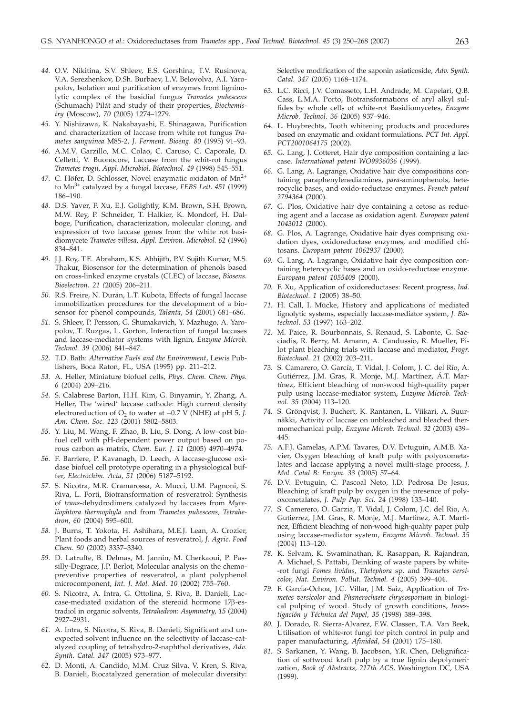- *44.* O.V. Nikitina, S.V. Shleev, E.S. Gorshina, T.V. Rusinova, V.A. Serezhenkov, D.Sh. Burbaev, L.V. Belovolva, A.I. Yaropolov, Isolation and purification of enzymes from ligninolytic complex of the basidial fungus *Trametes pubescens* (Schumach) Pilát and study of their properties, *Biochemistry* (Moscow), *70* (2005) 1274–1279.
- *45.* Y. Nishizawa, K. Nakabayashi, E. Shinagawa, Purification and characterization of laccase from white rot fungus *Trametes sanguinea* M85-2*, J. Ferment. Bioeng. 80* (1995) 91–93.
- *46.* A.M.V. Garzillo, M.C. Colao, C. Caruso, C. Caporale, D. Celletti, V. Buonocore, Laccase from the whit-rot fungus *Trametes trogii*, *Appl. Microbiol. Biotechnol. 49* (1998) 545–551.
- 47. C. Höfer, D. Schlosser, Novel enzymatic oxidaton of Mn<sup>2+</sup> to Mn3+ catalyzed by a fungal laccase, *FEBS Lett. 451* (1999) 186–190.
- *48.* D.S. Yaver, F. Xu, E.J. Golightly, K.M. Brown, S.H. Brown, M.W. Rey, P. Schneider, T. Halkier, K. Mondorf, H. Dalboge, Purification, characterization, molecular cloning, and expression of two laccase genes from the white rot basidiomycete *Trametes villosa*, *Appl. Environ. Microbiol. 62* (1996) 834–841.
- *49.* J.J. Roy, T.E. Abraham, K.S. Abhijith, P.V. Sujith Kumar, M.S. Thakur, Biosensor for the determination of phenols based on cross-linked enzyme crystals (CLEC) of laccase, *Biosens. Bioelectron. 21 (*2005) 206–211.
- *50.* R.S. Freire, N. Durán, L.T. Kubota, Effects of fungal laccase immobilization procedures for the development of a biosensor for phenol compounds, *Talanta*, *54* (2001) 681–686.
- *51.* S. Shleev, P. Persson, G. Shumakovich, Y. Mazhugo, A. Yaropolov, T. Ruzgas, L. Gorton, Interaction of fungal laccases and laccase-mediator systems with lignin, *Enzyme Microb. Technol. 39* (2006) 841–847.
- *52.* T.D. Bath: *Alternative Fuels and the Environment*, Lewis Publishers, Boca Raton, FL, USA (1995) pp. 211–212.
- *53.* A. Heller, Miniature biofuel cells, *Phys. Chem. Chem. Phys. 6* (2004) 209–216.
- *54.* S. Calabrese Barton, H.H. Kim, G. Binyamin, Y. Zhang, A. Heller, The 'wired' laccase cathode: High current density electroreduction of  $O_2$  to water at  $+0.7$  V (NHE) at pH 5, *J*. *Am. Chem. Soc. 123* (2001) 5802–5803.
- *55.* Y. Liu, M. Wang, F. Zhao, B. Liu, S. Dong, A low–cost biofuel cell with pH-dependent power output based on porous carbon as matrix, *Chem. Eur. J*. *11* (2005) 4970–4974.
- *56.* F. Barriere, P. Kavanagh, D. Leech, A laccase-glucose oxidase biofuel cell prototype operating in a physiological buffer, *Electrochim. Acta*, *51* (2006) 5187–5192.
- *57.* S. Nicotra, M.R. Cramarossa, A. Mucci, U.M. Pagnoni, S. Riva, L. Forti, Biotransformation of resveratrol: Synthesis of *trans*-dehydrodimers catalyzed by laccases from *Myceliophtora thermophyla* and from *Trametes pubescens, Tetrahedron*, *60* (2004) 595–600.
- *58.* J. Burns, T. Yokota, H. Ashihara, M.E.J. Lean, A. Crozier, Plant foods and herbal sources of resveratrol, *J. Agric. Food Chem. 50* (2002) 3337–3340.
- *59.* D. Latruffe, B. Delmas, M. Jannin, M. Cherkaoui, P. Passilly-Degrace, J.P. Berlot, Molecular analysis on the chemopreventive properties of resveratrol, a plant polyphenol microcomponent, *Int. J. Mol. Med*. *10* (2002) 755–760.
- *60.* S. Nicotra, A. Intra, G. Ottolina, S. Riva, B. Danieli, Laccase-mediated oxidation of the stereoid hormone 17β-estradiol in organic solvents, *Tetrahedron: Asymmetry*, *15* (2004) 2927–2931.
- *61.* A. Intra, S. Nicotra, S. Riva, B. Danieli, Significant and unexpected solvent influence on the selectivity of laccase-catalyzed coupling of tetrahydro-2-naphthol derivatives, *Adv. Synth. Catal. 347* (2005) 973–977.
- *62.* D. Monti, A. Candido, M.M. Cruz Silva, V. Kren, S. Riva, B. Danieli, Biocatalyzed generation of molecular diversity:

Selective modification of the saponin asiaticoside, *Adv. Synth. Catal. 347* (2005) 1168–1174.

- *63.* L.C. Ricci, J.V. Comasseto, L.H. Andrade, M. Capelari, Q.B. Cass, L.M.A. Porto, Biotransformations of aryl alkyl sulfides by whole cells of white-rot Basidiomycetes, *Enzyme Microb. Technol. 36* (2005) 937–946.
- *64.* L. Huybrechts, Tooth whitening products and procedures based on enzymatic and oxidant formulations. *PCT Int. Appl. PCT2001064175* (2002).
- *65.* G. Lang, J. Cotteret, Hair dye composition containing a laccase. *International patent WO9936036* (1999).
- *66.* G. Lang, A. Lagrange, Oxidative hair dye compositions containing paraphenylenediamines, *para*-aminophenols, heterocyclic bases, and oxido-reductase enzymes. *French patent 2794364* (2000).
- *67.* G. Plos, Oxidative hair dye containing a cetose as reducing agent and a laccase as oxidation agent. *European patent 1043012* (2000).
- *68.* G. Plos, A. Lagrange, Oxidative hair dyes comprising oxidation dyes, oxidoreductase enzymes, and modified chitosans. *European patent 1062937* (2000).
- *69.* G. Lang, A. Lagrange, Oxidative hair dye composition containing heterocyclic bases and an oxido-reductase enzyme. *European patent 1055409* (2000).
- *70.* F. Xu, Application of oxidoreductases: Recent progress, *Ind. Biotechnol*. *1* (2005) 38–50.
- *71.* H. Call, I. Mücke, History and applications of mediated lignolytic systems, especially laccase-mediator system, *J. Biotechnol*. *53* (1997) 163–202.
- *72.* M. Paice, R. Bourbonnais, S. Renaud, S. Labonte, G. Sacciadis, R. Berry, M. Amann, A. Candussio, R. Mueller, Pilot plant bleaching trials with laccase and mediator, *Progr. Biotechnol. 21* (2002) 203–211.
- *73.* S. Camarero, O. García, T. Vidal, J. Colom, J. C. del Río, A. Gutiérrez, J.M. Gras, R. Monje, M.J. Martínez, Á.T. Martínez, Efficient bleaching of non-wood high-quality paper pulp using laccase-mediator system**,** *Enzyme Microb. Technol. 35* (2004) 113–120.
- *74.* S. Grönqvist, J. Buchert, K. Rantanen, L. Viikari, A. Suurnäkki, Activity of laccase on unbleached and bleached thermomechanical pulp, *Enzyme Microb. Technol. 32* (2003) 439– 445.
- *75.* A.F.J. Gamelas, A.P.M. Tavares, D.V. Evtuguin, A.M.B. Xavier, Oxygen bleaching of kraft pulp with polyoxometalates and laccase applying a novel multi-stage process, *J. Mol. Catal B: Enzym. 33* (2005) 57–64.
- *76.* D.V. Evtuguin, C. Pascoal Neto, J.D. Pedrosa De Jesus, Bleaching of kraft pulp by oxygen in the presence of polyoxometalates, *J. Pulp Pap. Sci. 24* (1998) 133–140.
- *77.* S. Camerero, O. Garzia, T. Vidal, J. Colom, J.C. del Rio, A. Gutierrez, J.M. Gras, R. Monje, M.J. Martinez, A.T. Martinez, Efficient bleaching of non-wood high-quality paper pulp using laccase-mediator system, *Enzyme Microb. Technol. 35* (2004) 113–120.
- *78.* K. Selvam, K. Swaminathan, K. Rasappan, R. Rajandran, A. Michael, S. Pattabi, Deinking of waste papers by white- -rot fungi *Fomes lividus*, *Thelephora* sp. and *Trametes versicolor*, *Nat. Environ. Pollut. Technol. 4* (2005) 399–404.
- *79.* F. Garcia-Ochoa, J.C. Villar, J.M. Saiz, Application of *Trametes versicolor* and *Phanerochaete chrysosporium* in biological pulping of wood. Study of growth conditions, *Investigación y Téchnica del Papel, 35* (1998) 389–398.
- *80.* J. Dorado, R. Sierra-Alvarez, F.W. Classen, T.A. Van Beek, Utilisation of white-rot fungi for pitch control in pulp and paper manufacturing, *Afinidad*, *54* (2001) 175–180.
- *81.* S. Sarkanen, Y. Wang, B. Jacobson, Y.R. Chen, Delignification of softwood kraft pulp by a true lignin depolymerization, *Book of Abstracts, 217th ACS,* Washington DC, USA (1999).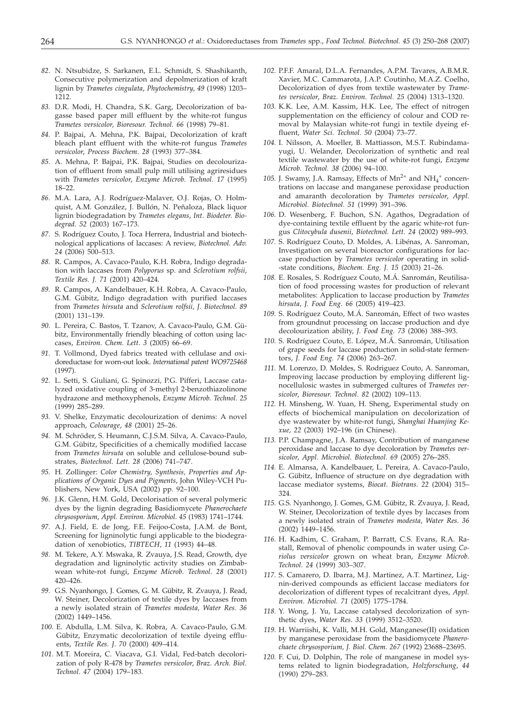- *82.* N. Ntsubidze, S. Sarkanen, E.L. Schmidt, S. Shashikanth, Consecutive polymerization and depolmerization of kraft lignin by *Trametes cingulata*, *Phytochemistry*, *49* (1998) 1203– 1212.
- *83.* D.R. Modi, H. Chandra, S.K. Garg, Decolorization of bagasse based paper mill effluent by the white-rot fungus *Trametes versicolor, Bioresour. Technol. 66* (1998) 79–81.
- *84.* P. Bajpai, A. Mehna, P.K. Bajpai, Decolorization of kraft bleach plant effluent with the white-rot fungus *Trametes versicolor*, *Process Biochem*. *28* (1993) 377–384.
- *85.* A. Mehna, P. Bajpai, P.K. Bajpai, Studies on decolourization of effluent from small pulp mill utilising agriresidues with *Trametes versicolor*, *Enzyme Microb. Technol. 17* (1995) 18–22.
- *86.* M.A. Lara, A.J. Rodríguez-Malaver, O.J. Rojas, O. Holmquist, A.M. González, J. Bullón, N. Peñaloza, Black liquor lignin biodegradation by *Trametes elegans*, *Int. Biodeter. Biodegrad. 52* (2003) 167–173.
- *87.* S. Rodríguez Couto, J. Toca Herrera, Industrial and biotechnological applications of laccases: A review, *Biotechnol. Adv. 24* (2006) 500–513.
- *88.* R. Campos, A. Cavaco-Paulo, K.H. Robra, Indigo degradation with laccases from *Polyporus* sp. and *Sclerotium rolfsii*, *Textile Res. J. 71* (2001) 420–424.
- *89.* R. Campos, A. Kandelbauer, K.H. Robra, A. Cavaco-Paulo, G.M. Gübitz, Indigo degradation with purified laccases from *Trametes hirsuta* and *Sclerotium rolfsii, J. Biotechnol. 89* (2001) 131–139.
- *90.* L. Pereira, C. Bastos, T. Tzanov, A. Cavaco-Paulo, G.M. Gübitz, Environmentally friendly bleaching of cotton using laccases, *Environ. Chem. Lett*. *3* (2005) 66–69.
- *91.* T. Vollmond, Dyed fabrics treated with cellulase and oxidoreductase for worn-out look. *International patent WO9725468* (1997).
- *92.* L. Setti, S. Giuliani, G. Spinozzi, P.G. Pifferi, Laccase catalyzed oxidative coupling of 3-methyl 2-benzothiazolinone hydrazone and methoxyphenols, *Enzyme Microb. Technol*. *25* (1999) 285–289.
- *93.* V. Shelke, Enzymatic decolourization of denims: A novel approach, *Colourage*, *48* (2001) 25–26.
- *94.* M. Schröder, S. Heumann, C.J.S.M. Silva, A. Cavaco-Paulo, G.M. Gübitz, Specificities of a chemically modified laccase from *Trametes hirsuta* on soluble and cellulose-bound substrates, *Biotechnol. Lett. 28* (2006) 741–747.
- *95.* H. Zollinger: *Color Chemistry, Synthesis, Properties and Applications of Organic Dyes and Pigments*, John Wiley-VCH Publishers, New York, USA (2002) pp. 92–100.
- *96.* J.K. Glenn, H.M. Gold, Decolorisation of several polymeric dyes by the lignin degrading Basidiomycete *Phanerochaete chrysosporium*, *Appl. Environ. Microbiol*. *45* (1983) 1741–1744.
- *97.* A.J. Field, E. de Jong, F.E. Feijoo-Costa, J.A.M. de Bont, Screening for ligninolytic fungi applicable to the biodegradation of xenobiotics, *TIBTECH*, *11* (1993) 44–48.
- *98.* M. Tekere, A.Y. Mswaka, R. Zvauya, J.S. Read, Growth, dye degradation and ligninolytic activity studies on Zimbabwean white-rot fungi, *Enzyme Microb. Technol*. *28* (2001) 420–426.
- *99.* G.S. Nyanhongo, J. Gomes, G. M. Gübitz, R. Zvauya, J. Read, W. Steiner, Decolorization of textile dyes by laccases from a newly isolated strain of *Trametes modesta, Water Res. 36* (2002) 1449–1456.
- *100.* E. Abdulla, L.M. Silva, K. Robra, A. Cavaco-Paulo, G.M. Gübitz, Enzymatic decolorization of textile dyeing effluents, *Textile Res. J. 70* (2000) 409–414.
- *101.* M.T. Moreira, C. Viacava, G.I. Vidal, Fed-batch decolorization of poly R-478 by *Trametes versicolor*, *Braz. Arch. Biol. Technol. 47* (2004) 179–183.
- *102.* P.F.F. Amaral, D.L.A. Fernandes, A.P.M. Tavares, A.B.M.R. Xavier, M.C. Cammarota, J.A.P. Coutinho, M.A.Z. Coelho, Decolorization of dyes from textile wastewater by *Trametes versicolor*, *Braz. Environ. Technol. 25* (2004) 1313–1320.
- *103.* K.K. Lee, A.M. Kassim, H.K. Lee, The effect of nitrogen supplementation on the efficiency of colour and COD removal by Malaysian white-rot fungi in textile dyeing effluent, *Water Sci. Technol. 50* (2004) 73–77.
- *104.* I. Nilsson, A. Moeller, B. Mattiasson, M.S.T. Rubindamayugi, U. Welander, Decolorization of synthetic and real textile wastewater by the use of white-rot fungi, *Enzyme Microb. Technol. 38* (2006) 94–100.
- 105. J. Swamy, J.A. Ramsay, Effects of  $Mn^{2+}$  and  $NH_4^+$  concentrations on laccase and manganese peroxidase production and amaranth decoloration by *Trametes versicolor*, *Appl. Microbiol. Biotechnol. 51* (1999) 391–396.
- *106.* D. Wesenberg, F. Buchon, S.N. Agathos, Degradation of dye-containing textile effluent by the agaric white-rot fungus *Clitocybula dusenii*, *Biotechnol. Lett. 24* (2002) 989–993.
- *107.* S. Rodríguez Couto, D. Moldes, A. Libénas, A. Sanroman, Investigation on several bioreactor configurations for laccase production by *Trametes versicolor* operating in solid- -state conditions, *Biochem. Eng. J. 15* (2003) 21–26.
- *108.* E. Rosales, S. Rodríguez Couto, M.Á. Sanromán, Reutilisation of food processing wastes for production of relevant metabolites: Application to laccase production by *Trametes hirsuta*, *J. Food Eng. 66* (2005) 419–423.
- *109.* S. Rodríguez Couto, M.Á. Sanromán, Effect of two wastes from groundnut processing on laccase production and dye decolourization ability, *J. Food Eng. 73* (2006) 388–393.
- *110.* S. Rodríguez Couto, E. López, M.Á. Sanromán, Utilisation of grape seeds for laccase production in solid-state fermentors, *J. Food Eng. 74* (2006) 263–267.
- *111.* M. Lorenzo, D. Moldes, S. Rodriguez Couto, A. Sanroman, Improving laccase production by employing different lignocellulosic wastes in submerged cultures of *Trametes versicolor*, *Bioresour. Technol*. *82* (2002) 109–113.
- *112.* H. Minsheng, W. Yuan, H. Sheng, Experimental study on effects of biochemical manipulation on decolorization of dye wastewater by white-rot fungi, *Shanghai Huanjing Kexue*, *22* (2003) 192–196 (in Chinese).
- *113.* P.P. Champagne, J.A. Ramsay, Contribution of manganese peroxidase and laccase to dye decoloration by *Trametes versicolor*, *Appl. Microbiol. Biotechnol. 69* (2005) 276–285.
- *114.* E. Almansa, A. Kandelbauer, L. Pereira, A. Cavaco-Paulo, G. Gübitz, Influence of structure on dye degradation with laccase mediator systems, *Biocat. Biotrans. 22* (2004) 315– 324.
- *115.* G.S. Nyanhongo, J. Gomes, G.M. Gübitz, R. Zvauya, J. Read, W. Steiner, Decolorization of textile dyes by laccases from a newly isolated strain of *Trametes modesta*, *Water Res. 36* (2002) 1449–1456.
- *116.* H. Kadhim, C. Graham, P. Barratt, C.S. Evans, R.A. Rastall, Removal of phenolic compounds in water using *Coriolus versicolor* grown on wheat bran, *Enzyme Microb. Technol*. *24* (1999) 303–307.
- *117.* S. Camarero, D. Ibarra, M.J. Martinez, A.T. Martinez, Lignin-derived compounds as efficient laccase mediators for decolorization of different types of recalcitrant dyes, *Appl. Environ. Microbiol. 71* (2005) 1775–1784.
- *118.* Y. Wong, J. Yu, Laccase catalysed decolorization of synthetic dyes, *Water Res*. *33* (1999) 3512–3520.
- *119.* H. Warriishi, K. Valli, M.H. Gold, Manganese(II) oxidation by manganese peroxidase from the basidiomycete *Phanerochaete chrysosporium, J. Biol. Chem*. *267* (1992) 23688–23695.
- *120.* F. Cui, D. Dolphin, The role of manganese in model systems related to lignin biodegradation, *Holzforschung*, *44* (1990) 279–283.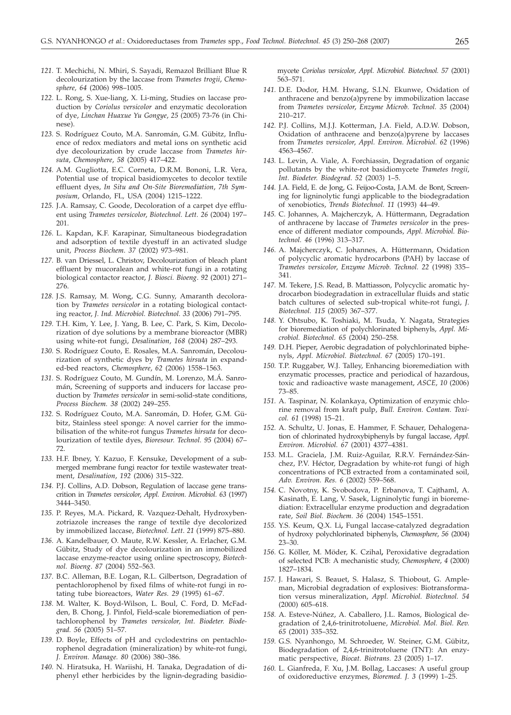- *121.* T. Mechichi, N. Mhiri, S. Sayadi, Remazol Brilliant Blue R decolourization by the laccase from *Trametes trogii*, *Chemosphere, 64* (2006) 998–1005.
- *122.* L. Rong, S. Xue-liang, X. Li-ming, Studies on laccase production by *Coriolus versicolor* and enzymatic decoloration of dye, *Linchan Huaxue Yu Gongye*, *25* (2005) 73-76 (in Chinese).
- *123.* S. Rodríguez Couto, M.A. Sanromán, G.M. Gübitz, Influence of redox mediators and metal ions on synthetic acid dye decolourization by crude laccase from *Trametes hirsuta*, *Chemosphere*, *58* (2005) 417–422.
- *124.* A.M. Gugliotta, E.C. Corneta, D.R.M. Bononi, L.R. Vera, Potential use of tropical basidiomycetes to decolor textile effluent dyes, *In Situ and On-Site Bioremediation*, *7th Symposium,* Orlando, FL*,* USA (2004) 1215–1222.
- *125.* J.A. Ramsay, C. Goode, Decoloration of a carpet dye effluent using *Trametes versicolor*, *Biotechnol. Lett. 26* (2004) 197– 201.
- *126.* L. Kapdan, K.F. Karapinar, Simultaneous biodegradation and adsorption of textile dyestuff in an activated sludge unit, *Process Biochem*. *37* (2002) 973–981.
- *127.* B. van Driessel, L. Christov, Decolourization of bleach plant effluent by mucoralean and white-rot fungi in a rotating biological contactor reactor, *J. Biosci. Bioeng*. *92* (2001) 271– 276.
- *128.* J.S. Ramsay, M. Wong, C.G. Sunny, Amaranth decoloration by *Trametes versicolor* in a rotating biological contacting reactor, *J. Ind. Microbiol. Biotechnol. 33* (2006) 791–795.
- *129.* T.H. Kim, Y. Lee, J. Yang, B. Lee, C. Park, S. Kim, Decolorization of dye solutions by a membrane bioreactor (MBR) using white-rot fungi, *Desalination*, *168* (2004) 287–293.
- *130.* S. Rodríguez Couto, E. Rosales, M.A. Sanromán, Decolourization of synthetic dyes by *Trametes hirsuta* in expanded-bed reactors, *Chemosphere*, *62* (2006) 1558–1563.
- *131.* S. Rodríguez Couto, M. Gundín, M. Lorenzo, M.Á. Sanromán, Screening of supports and inducers for laccase production by *Trametes versicolor* in semi-solid-state conditions, *Process Biochem. 38* (2002) 249–255.
- *132.* S. Rodríguez Couto, M.A. Sanromán, D. Hofer, G.M. Gübitz, Stainless steel sponge: A novel carrier for the immobilisation of the white-rot fungus *Trametes hirsuta* for decolourization of textile dyes, *Bioresour. Technol. 95* (2004) 67– 72.
- *133.* H.F. Ibney, Y. Kazuo, F. Kensuke, Development of a submerged membrane fungi reactor for textile wastewater treatment, *Desalination*, *192* (2006) 315–322.
- *134.* P.J. Collins, A.D. Dobson, Regulation of laccase gene transcrition in *Trametes versicolor*, *Appl. Environ. Microbiol. 63* (1997) 3444–3450.
- *135.* P. Reyes, M.A. Pickard, R. Vazquez-Dehalt, Hydroxybenzotriazole increases the range of textile dye decolorized by immobilized laccase, *Biotechnol. Lett*. *21* (1999) 875–880.
- *136.* A. Kandelbauer, O. Maute, R.W. Kessler, A. Erlacher, G.M. Gübitz, Study of dye decolourization in an immobilized laccase enzyme-reactor using online spectroscopy, *Biotechnol. Bioeng*. *87* (2004) 552–563.
- *137.* B.C. Alleman, B.E. Logan, R.L. Gilbertson, Degradation of pentachlorophenol by fixed films of white-rot fungi in rotating tube bioreactors, *Water Res. 29* (1995) 61–67.
- *138.* M. Walter, K. Boyd-Wilson, L. Boul, C. Ford, D. McFadden, B. Chong, J. Pinfol, Field-scale bioremediation of pentachlorophenol by *Trametes versicolor, Int. Biodeter. Biodegrad. 56* (2005) 51–57.
- *139.* D. Boyle, Effects of pH and cyclodextrins on pentachlorophenol degradation (mineralization) by white-rot fungi, *J. Environ. Manage. 80* (2006) 380–386.
- *140.* N. Hiratsuka, H. Wariishi, H. Tanaka, Degradation of diphenyl ether herbicides by the lignin-degrading basidio-

mycete *Coriolus versicolor*, *Appl. Microbiol. Biotechnol. 57* (2001) 563–571.

- *141.* D.E. Dodor, H.M. Hwang, S.I.N. Ekunwe, Oxidation of anthracene and benzo(a)pyrene by immobilization laccase from *Trametes versicolor*, *Enzyme Microb. Technol. 35* (2004) 210–217.
- *142.* P.J. Collins, M.J.J. Kotterman, J.A. Field, A.D.W. Dobson, Oxidation of anthracene and benzo(a)pyrene by laccases from *Trametes versicolor*, *Appl. Environ. Microbiol. 62* (1996) 4563–4567.
- *143.* L. Levin, A. Viale, A. Forchiassin, Degradation of organic pollutants by the white-rot basidiomycete *Trametes trogii*, *Int. Biodeter. Biodegrad*. *52* (2003) 1–5.
- *144.* J.A. Field, E. de Jong, G. Feijoo-Costa, J.A.M. de Bont, Screening for ligninolytic fungi applicable to the biodegradation of xenobiotics, *Trends Biotechnol. 11* (1993) 44–49.
- *145.* C. Johannes, A. Majcherczyk, A. Hüttermann, Degradation of anthracene by laccase of *Trametes versicolor* in the presence of different mediator compounds, *Appl. Microbiol. Biotechnol. 46* (1996) 313–317.
- *146.* A. Majcherczyk, C. Johannes, A. Hüttermann, Oxidation of polycyclic aromatic hydrocarbons (PAH) by laccase of *Trametes versicolor*, *Enzyme Microb. Technol. 22* (1998) 335– 341.
- *147.* M. Tekere, J.S. Read, B. Mattiasson, Polycyclic aromatic hydrocarbon biodegradation in extracellular fluids and static batch cultures of selected sub-tropical white-rot fungi, *J. Biotechnol. 115* (2005) 367–377.
- *148.* Y. Ohtsubo, K. Toshiaki, M. Tsuda, Y. Nagata, Strategies for bioremediation of polychlorinated biphenyls, *Appl. Microbiol. Biotechnol. 65* (2004) 250–258.
- *149.* D.H. Pieper, Aerobic degradation of polychlorinated biphenyls, *Appl. Microbiol. Biotechnol. 67* (2005) 170–191.
- *150.* T.P. Ruggaber, W.J. Talley, Enhancing bioremediation with enzymatic processes, practice and periodical of hazardous, toxic and radioactive waste management, *ASCE*, *10* (2006) 73–85.
- *151.* A. Taspinar, N. Kolankaya, Optimization of enzymic chlorine removal from kraft pulp, *Bull. Environ. Contam. Toxicol. 61* (1998) 15–21.
- *152.* A. Schultz, U. Jonas, E. Hammer, F. Schauer, Dehalogenation of chlorinated hydroxybiphenyls by fungal laccase, *Appl. Environ. Microbiol. 67* (2001) 4377–4381.
- *153.* M.L. Graciela, J.M. Ruiz-Aguilar, R.R.V. Fernández-Sánchez, P.V. Héctor, Degradation by white-rot fungi of high concentrations of PCB extracted from a contaminated soil, *Adv. Environ. Res. 6* (2002) 559–568.
- *154.* C. Novotny, K. Svobodova, P. Erbanova, T. Cajthaml, A. Kasinath, E. Lang, V. Sasek, Ligninolytic fungi in bioremediation: Extracellular enzyme production and degradation rate, *Soil Biol. Biochem. 36* (2004) 1545–1551.
- *155.* Y.S. Keum, Q.X. Li**,** Fungal laccase-catalyzed degradation of hydroxy polychlorinated biphenyls, *Chemosphere*, *56* (2004) 23–30.
- *156.* G. Köller, M. Möder, K. Czihal**,** Peroxidative degradation of selected PCB: A mechanistic study, *Chemosphere*, *4* (2000) 1827–1834.
- *157.* J. Hawari, S. Beauet, S. Halasz, S. Thiobout, G. Ampleman, Microbial degradation of explosives: Biotransformation versus mineralization, *Appl. Microbiol. Biotechnol. 54* (2000) 605–618.
- *158.* A. Esteve-Núñez, A. Caballero, J.L. Ramos, Biological degradation of 2,4,6-trinitrotoluene, *Microbiol. Mol. Biol. Rev. 65* (2001) 335–352.
- *159.* G.S. Nyanhongo, M. Schroeder, W. Steiner, G.M. Gübitz, Biodegradation of 2,4,6-trinitrotoluene (TNT): An enzymatic perspective, *Biocat. Biotrans. 23* (2005) 1–17.
- *160.* L. Gianfreda, F. Xu, J.M. Bollag, Laccases: A useful group of oxidoreductive enzymes, *Bioremed. J. 3* (1999) 1–25.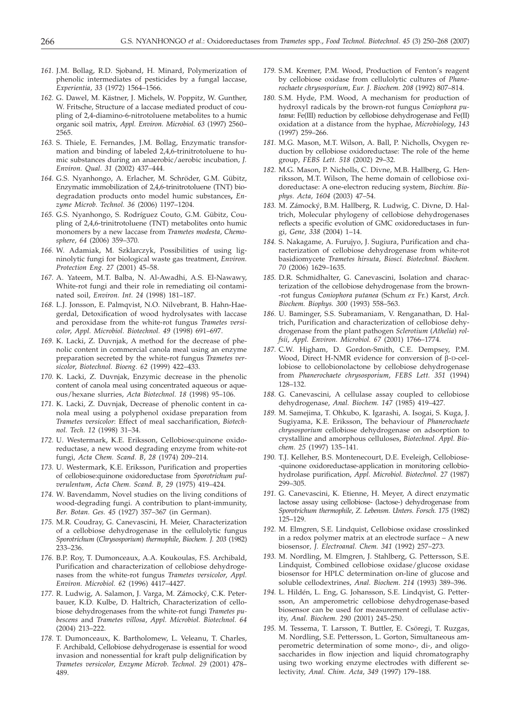- *161.* J.M. Bollag, R.D. Sjoband, H. Minard, Polymerization of phenolic intermediates of pesticides by a fungal laccase, *Experientia*, *33* (1972) 1564–1566.
- *162.* G. Dawel, M. Kästner, J. Michels, W. Poppitz, W. Gunther, W. Fritsche, Structure of a laccase mediated product of coupling of 2,4-diamino-6-nitrotoluene metabolites to a humic organic soil matrix, *Appl. Environ. Microbiol. 63* (1997) 2560– 2565.
- *163.* S. Thiele, E. Fernandes, J.M. Bollag, Enzymatic transformation and binding of labeled 2,4,6-trinitrotoluene to humic substances during an anaerobic/aerobic incubation, *J. Environ. Qual*. *31* (2002) 437–444.
- *164.* G.S. Nyanhongo, A. Erlacher, M. Schröder, G.M. Gübitz, Enzymatic immobilization of 2,4,6-trinitrotoluene (TNT) biodegradation products onto model humic substances**,** *Enzyme Microb. Technol. 36* (2006) 1197–1204.
- *165.* G.S. Nyanhongo, S. Rodríguez Couto, G.M. Gübitz, Coupling of 2,4,6-trinitrotoluene (TNT) metabolites onto humic monomers by a new laccase from *Trametes modesta, Chemosphere*, *64* (2006) 359–370*.*
- *166.* W. Adamiak, M. Szklarczyk, Possibilities of using ligninolytic fungi for biological waste gas treatment, *Environ. Protection Eng*. *27* (2001) 45–58.
- *167.* A. Yateem, M.T. Balba, N. Al-Awadhi, A.S. El-Nawawy, White-rot fungi and their role in remediating oil contaminated soil, *Environ. Int. 24* (1998) 181–187.
- *168.* L.J. Jonsson, E. Palmqvist, N.O. Nilvebrant, B. Hahn-Haegerdal, Detoxification of wood hydrolysates with laccase and peroxidase from the white-rot fungus *Trametes versicolor*, *Appl. Microbiol. Biotechnol. 49* (1998) 691–697.
- *169.* K. Lacki, Z. Duvnjak, A method for the decrease of phenolic content in commercial canola meal using an enzyme preparation secreted by the white-rot fungus *Trametes versicolor*, *Biotechnol. Bioeng. 62* (1999) 422–433.
- *170.* K. Lacki, Z. Duvnjak, Enzymic decrease in the phenolic content of canola meal using concentrated aqueous or aqueous/hexane slurries, *Acta Biotechnol. 18* (1998) 95–106.
- *171.* K. Lacki, Z. Duvnjak, Decrease of phenolic content in canola meal using a polyphenol oxidase preparation from *Trametes versicolor*: Effect of meal saccharification, *Biotechnol. Tech*. *12* (1998) 31–34.
- *172.* U. Westermark, K.E. Eriksson, Cellobiose:quinone oxidoreductase, a new wood degrading enzyme from white-rot fungi, *Acta Chem. Scand. B*, *28* (1974) 209–214.
- *173.* U. Westermark, K.E. Eriksson, Purification and properties of cellobiose:quinone oxidoreductase from *Sporotrichum pulverulentum*, *Acta Chem. Scand. B*, *29* (1975) 419–424.
- *174.* W. Bavendamm, Novel studies on the living conditions of wood-degrading fungi. A contribution to plant-immunity, *Ber. Botan. Ges. 45* (1927) 357–367 (in German).
- *175.* M.R. Coudray, G. Canevascini, H. Meier, Characterization of a cellobiose dehydrogenase in the cellulolytic fungus *Sporotrichum* (*Chrysosporium*) *thermophile*, *Biochem. J. 203* (1982) 233–236.
- *176.* B.P. Roy, T. Dumonceaux, A.A. Koukoulas, F.S. Archibald, Purification and characterization of cellobiose dehydrogenases from the white-rot fungus *Trametes versicolor*, *Appl. Environ. Microbiol. 62* (1996) 4417–4427.
- *177.* R. Ludwig, A. Salamon, J. Varga, M. Zámocký, C.K. Peterbauer, K.D. Kulbe, D. Haltrich, Characterization of cellobiose dehydrogenases from the white-rot fungi *Trametes pubescens* and *Trametes villosa*, *Appl. Microbiol. Biotechnol. 64* (2004) 213–222.
- *178.* T. Dumonceaux, K. Bartholomew, L. Veleanu, T. Charles, F. Archibald, Cellobiose dehydrogenase is essential for wood invasion and nonessential for kraft pulp delignification by *Trametes versicolor*, *Enzyme Microb. Technol. 29* (2001) 478– 489.
- *179.* S.M. Kremer, P.M. Wood, Production of Fenton's reagent by cellobiose oxidase from cellulolytic cultures of *Phanerochaete chrysosporium*, *Eur. J. Biochem. 208* (1992) 807–814.
- *180.* S.M. Hyde, P.M. Wood, A mechanism for production of hydroxyl radicals by the brown-rot fungus *Coniophora puteana*: Fe(III) reduction by cellobiose dehydrogenase and Fe(II) oxidation at a distance from the hyphae, *Microbiology*, *143* (1997) 259–266.
- *181.* M.G. Mason, M.T. Wilson, A. Ball, P. Nicholls, Oxygen reduction by cellobiose oxidoreductase: The role of the heme group, *FEBS Lett. 518* (2002) 29–32.
- *182.* M.G. Mason, P. Nicholls, C. Divne, M.B. Hallberg, G. Henriksson, M.T. Wilson, The heme domain of cellobiose oxidoreductase: A one-electron reducing system, *Biochim. Biophys. Acta*, *1604* (2003) 47–54.
- *183.* M. Zámocký, B.M. Hallberg, R. Ludwig, C. Divne, D. Haltrich, Molecular phylogeny of cellobiose dehydrogenases reflects a specific evolution of GMC oxidoreductases in fungi, *Gene*, *338* (2004) 1–14.
- *184.* S. Nakagame, A. Furujyo, J. Sugiura, Purification and characterization of cellobiose dehydrogenase from white-rot basidiomycete *Trametes hirsuta*, *Biosci. Biotechnol. Biochem. 70* (2006) 1629–1635.
- *185.* D.R. Schmidhalter, G. Canevascini, Isolation and characterization of the cellobiose dehydrogenase from the brown- -rot fungus *Coniophora putanea* (Schum *ex* Fr.) Karst, *Arch. Biochem. Biophys. 300* (1993) 558–563.
- *186.* U. Baminger, S.S. Subramaniam, V. Renganathan, D. Haltrich, Purification and characterization of cellobiose dehydrogenase from the plant pathogen *Sclerotium* (*Athelia*) *rolfsii*, *Appl. Environ. Microbiol. 67* (2001) 1766–1774.
- *187.* C.W. Higham, D. Gordon-Smith, C.E. Dempsey, P.M. Wood, Direct H-NMR evidence for conversion of  $\beta$ -D-cellobiose to cellobionolactone by cellobiose dehydrogenase from *Phanerochaete chrysosporium*, *FEBS Lett. 351* (1994) 128–132.
- *188.* G. Canevascini, A cellulase assay coupled to cellobiose dehydrogenase, *Anal. Biochem. 147* (1985) 419–427.
- *189.* M. Samejima, T. Ohkubo, K. Igarashi, A. Isogai, S. Kuga, J. Sugiyama, K.E. Eriksson, The behaviour of *Phanerochaete chrysosporium* cellobiose dehydrogenase on adsorption to crystalline and amorphous celluloses, *Biotechnol. Appl. Biochem. 25* (1997) 135–141.
- *190.* T.J. Kelleher, B.S. Montenecourt, D.E. Eveleigh, Cellobiose- -quinone oxidoreductase-application in monitoring cellobiohydrolase purification, *Appl. Microbiol. Biotechnol. 27* (1987) 299–305.
- *191.* G. Canevascini, K. Etienne, H. Meyer, A direct enzymatic lactose assay using cellobiose- (lactose-) dehydrogenase from *Sporotrichum thermophile*, *Z. Lebensm. Unters. Forsch. 175* (1982) 125–129.
- *192.* M. Elmgren, S.E. Lindquist, Cellobiose oxidase crosslinked in a redox polymer matrix at an electrode surface – A new biosensor*, J. Electroanal. Chem. 341* (1992) 257–273.
- *193.* M. Nordling, M. Elmgren, J. Stahlberg, G. Pettersson, S.E. Lindquist, Combined cellobiose oxidase/glucose oxidase biosensor for HPLC determination on-line of glucose and soluble cellodextrines, *Anal. Biochem. 214* (1993) 389–396.
- *194.* L. Hildén, L. Eng, G. Johansson, S.E. Lindqvist, G. Pettersson, An amperometric cellobiose dehydrogenase-based biosensor can be used for measurement of cellulase activity, *Anal. Biochem. 290* (2001) 245–250.
- *195.* M. Tessema, T. Larsson, T. Buttler, E. Csöregi, T. Ruzgas, M. Nordling, S.E. Pettersson, L. Gorton, Simultaneous amperometric determination of some mono-, di-, and oligosaccharides in flow injection and liquid chromatography using two working enzyme electrodes with different selectivity, *Anal. Chim. Acta*, *349* (1997) 179–188.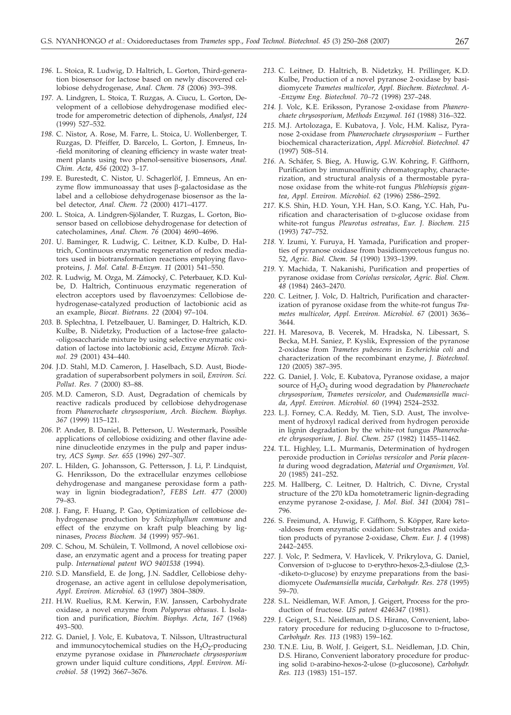- *196.* L. Stoica, R. Ludwig, D. Haltrich, L. Gorton, Third-generation biosensor for lactose based on newly discovered cellobiose dehydrogenase, *Anal. Chem. 78* (2006) 393–398.
- *197.* A. Lindgren, L. Stoica, T. Ruzgas, A. Ciucu, L. Gorton, Development of a cellobiose dehydrogenase modified electrode for amperometric detection of diphenols, *Analyst*, *124* (1999) 527–532.
- *198.* C. Nistor, A. Rose, M. Farre, L. Stoica, U. Wollenberger, T. Ruzgas, D. Pfeiffer, D. Barcelo, L. Gorton, J. Emneus, In- -field monitoring of cleaning efficiency in waste water treatment plants using two phenol-sensitive biosensors, *Anal. Chim. Acta*, *456* (2002) 3–17.
- *199.* E. Burestedt, C. Nistor, U. Schagerlöf, J. Emneus, An enzyme flow immunoassay that uses  $\beta$ -galactosidase as the label and a cellobiose dehydrogenase biosensor as the label detector, *Anal. Chem. 72* (2000) 4171–4177.
- *200.* L. Stoica, A. Lindgren-Sjölander, T. Ruzgas, L. Gorton, Biosensor based on cellobiose dehydrogenase for detection of catecholamines, *Anal. Chem. 76* (2004) 4690–4696.
- *201.* U. Baminger, R. Ludwig, C. Leitner, K.D. Kulbe, D. Haltrich, Continuous enzymatic regeneration of redox mediators used in biotransformation reactions employing flavoproteins, *J. Mol. Catal. B-Enzym. 11* (2001) 541–550.
- *202.* R. Ludwig, M. Ozga, M. Zámocký, C. Peterbauer, K.D. Kulbe, D. Haltrich, Continuous enzymatic regeneration of electron acceptors used by flavoenzymes: Cellobiose dehydrogenase-catalyzed production of lactobionic acid as an example, *Biocat. Biotrans. 22* (2004) 97–104.
- *203.* B. Splechtna, I. Petzelbauer, U. Baminger, D. Haltrich, K.D. Kulbe, B. Nidetzky, Production of a lactose-free galacto- -oligosaccharide mixture by using selective enzymatic oxidation of lactose into lactobionic acid, *Enzyme Microb. Technol. 29* (2001) 434–440.
- *204.* J.D. Stahl, M.D. Cameron, J. Haselbach, S.D. Aust, Biodegradation of superabsorbent polymers in soil, *Environ. Sci. Pollut. Res. 7* (2000) 83–88.
- *205.* M.D. Cameron, S.D. Aust, Degradation of chemicals by reactive radicals produced by cellobiose dehydrogenase from *Phanerochaete chrysosporium*, *Arch. Biochem. Biophys. 367* (1999) 115–121.
- *206.* P. Ander, B. Daniel, B. Petterson, U. Westermark, Possible applications of cellobiose oxidizing and other flavine adenine dinucleotide enzymes in the pulp and paper industry, *ACS Symp. Ser. 655* (1996) 297–307.
- *207.* L. Hilden, G. Johansson, G. Pettersson, J. Li, P. Lindquist, G. Henriksson, Do the extracellular enzymes cellobiose dehydrogenase and manganese peroxidase form a pathway in lignin biodegradation?, *FEBS Lett. 477* (2000) 79–83.
- *208.* J. Fang, F. Huang, P. Gao, Optimization of cellobiose dehydrogenase production by *Schizophyllum commune* and effect of the enzyme on kraft pulp bleaching by ligninases, *Process Biochem. 34* (1999) 957–961.
- *209.* C. Schou, M. Schülein, T. Vollmond, A novel cellobiose oxidase, an enzymatic agent and a process for treating paper pulp. *International patent WO 9401538* (1994).
- *210.* S.D. Mansfield, E. de Jong, J.N. Saddler, Cellobiose dehydrogenase, an active agent in cellulose depolymerisation, *Appl. Environ. Microbiol. 63* (1997) 3804–3809.
- *211.* H.W. Ruelius, R.M. Kerwin, F.W. Janssen, Carbohydrate oxidase, a novel enzyme from *Polyporus obtusus*. I. Isolation and purification, *Biochim. Biophys. Acta*, *167* (1968) 493–500.
- *212.* G. Daniel, J. Volc, E. Kubatova, T. Nilsson, Ultrastructural and immunocytochemical studies on the  $H_2O_2$ -producing enzyme pyranose oxidase in *Phanerochaete chrysosporium* grown under liquid culture conditions, *Appl. Environ. Microbiol*. *58* (1992) 3667–3676.
- *213.* C. Leitner, D. Haltrich, B. Nidetzky, H. Prillinger, K.D. Kulbe, Production of a novel pyranose 2-oxidase by basidiomycete *Trametes multicolor*, *Appl. Biochem. Biotechnol. A- -Enzyme Eng. Biotechnol. 70–72* (1998) 237–248.
- *214.* J. Volc, K.E. Eriksson, Pyranose 2-oxidase from *Phanerochaete chrysosporium*, *Methods Enzymol. 161* (1988) 316–322.
- *215.* M.J. Artolozaga, E. Kubatova, J. Volc, H.M. Kalisz, Pyranose 2-oxidase from *Phanerochaete chrysosporium* – Further biochemical characterization, *Appl. Microbiol. Biotechnol. 47* (1997) 508–514.
- *216.* A. Schäfer, S. Bieg, A. Huwig, G.W. Kohring, F. Giffhorn, Purification by immunoaffinity chromatography, characterization, and structural analysis of a thermostable pyranose oxidase from the white-rot fungus *Phlebiopsis gigantea*, *Appl. Environ. Microbiol. 62* (1996) 2586–2592.
- *217.* K.S. Shin, H.D. Youn, Y.H. Han, S.O. Kang, Y.C. Hah, Purification and characterisation of D-glucose oxidase from white-rot fungus *Pleurotus ostreatus*, *Eur. J. Biochem. 215* (1993) 747–752.
- *218.* Y. Izumi, Y. Furuya, H. Yamada, Purification and properties of pyranose oxidase from basidiomycetous fungus no. 52, *Agric. Biol. Chem. 54* (1990) 1393–1399.
- *219.* Y. Machida, T. Nakanishi, Purification and properties of pyranose oxidase from *Coriolus versicolor*, *Agric. Biol. Chem. 48* (1984) 2463–2470.
- *220.* C. Leitner, J. Volc, D. Haltrich, Purification and characterization of pyranose oxidase from the white-rot fungus *Trametes multicolor*, *Appl. Environ. Microbiol. 67* (2001) 3636– 3644.
- *221.* H. Maresova, B. Vecerek, M. Hradska, N. Libessart, S. Becka, M.H. Saniez, P. Kyslik, Expression of the pyranose 2-oxidase from *Trametes pubescens* in *Escherichia coli* and characterization of the recombinant enzyme, *J. Biotechnol. 120* (2005) 387–395.
- *222.* G. Daniel, J. Volc, E. Kubatova, Pyranose oxidase, a major source of H<sub>2</sub>O<sub>2</sub> during wood degradation by *Phanerochaete chrysosporium*, *Trametes versicolor*, and *Oudemansiella mucida*, *Appl. Environ. Microbiol. 60* (1994) 2524–2532.
- *223.* L.J. Forney, C.A. Reddy, M. Tien, S.D. Aust, The involvement of hydroxyl radical derived from hydrogen peroxide in lignin degradation by the white-rot fungus *Phanerochaete chrysosporium*, *J. Biol. Chem. 257* (1982) 11455–11462.
- *224.* T.L. Highley, L.L. Murmanis, Determination of hydrogen peroxide production in *Coriolus versicolor* and *Poria placenta* during wood degradation, *Material und Organismen, Vol. 20* (1985) 241–252.
- *225.* M. Hallberg, C. Leitner, D. Haltrich, C. Divne, Crystal structure of the 270 kDa homotetrameric lignin-degrading enzyme pyranose 2-oxidase, *J. Mol. Biol. 341* (2004) 781– 796.
- *226.* S. Freimund, A. Huwig, F. Giffhorn, S. Köpper, Rare keto- -aldoses from enzymatic oxidation: Substrates and oxidation products of pyranose 2-oxidase, *Chem. Eur. J. 4* (1998) 2442–2455.
- *227.* J. Volc, P. Sedmera, V. Havlicek, V. Prikrylova, G. Daniel, Conversion of D-glucose to D-erythro-hexos-2,3-diulose (2,3- -diketo-D-glucose) by enzyme preparations from the basidiomycete *Oudemansiella mucida*, *Carbohydr. Res. 278* (1995) 59–70.
- *228.* S.L. Neidleman, W.F. Amon, J. Geigert, Process for the production of fructose. *US patent 4246347* (1981).
- *229.* J. Geigert, S.L. Neidleman, D.S. Hirano, Convenient, laboratory procedure for reducing D-glucosone to D-fructose, *Carbohydr. Res. 113* (1983) 159–162.
- *230.* T.N.E. Liu, B. Wolf, J. Geigert, S.L. Neidleman, J.D. Chin, D.S. Hirano, Convenient laboratory procedure for producing solid D-arabino-hexos-2-ulose (D-glucosone), *Carbohydr. Res. 113* (1983) 151–157.